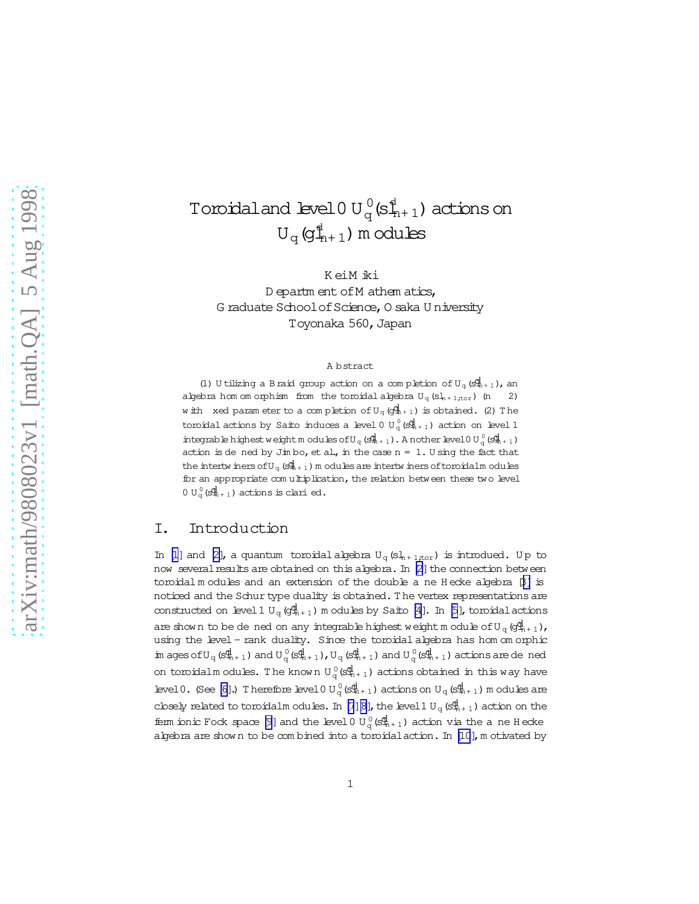# Toroidaland level $0$  U $_{\rm q}^{0}$ (s $_{\rm n+1}^{\rm d}$ ) actions on  $\mathrm{U}_{\mathrm{q}}\,(\!\mathsf{g}_{\!+\!1}^{\mathsf{d}})$  m odules

K eiM iki D epartm ent of M athem atics, G raduate School of Science, O saka U niversity Toyonaka 560, Japan

#### A bstract

(1) U tilizing a B raid group action on a completion of  $U_q(S^d_{n+1})$ , an algebra hom om orphism from the toroidal algebra  $U_q(Sl_{n+1;tor})$  (n 2) with xed param eter to a completion of  $U_q$  (gl<sub>i<sup>1+1</sub>)</sup> is obtained. (2) The</sub> toroidal actions by Saito induces a level 0  $\mathtt{U}_q^0(\mathcal{S}^\blacklozenge_{n+1})$  action on level 1 integrable highest weight modules of U<sub>q</sub> (s $\mathbb{I}_{n+1}$ ). A notherlevel 0 U<sub>q</sub> (s $\mathbb{I}_{n+1}$ ) action is de ned by Jim bo, et al., in the case  $n = 1$ . U sing the fact that the intertw iners of  $U_q$  ( $S_{n+1}^{\mathbb{R}}$ ) m odules are intertw iners of toroidalm odules for an appropriate com ultiplication, the relation between these two level  $0 \mathrm{U}^0_q(\mathbb{S}^{\rceil}_{n+1})$  actions is clari ed.

### I. Introduction

In [\[1](#page-18-0)] and [\[2\]](#page-18-0), a quantum toroidal algebra  $U_q(s)_{n+1;tor}$ ) is introdued. Up to now several results are obtained on this algebra. In [\[2](#page-18-0)] the connection between toroidal m odules and an extension of the double a ne H ecke algebra [\[3\]](#page-18-0) is noticed and the Schur type duality is obtained. The vertex representations are constructed on level 1  $U_q(q_{n+1}^d)$  m odules by Saito [\[4\]](#page-18-0). In [\[5](#page-18-0)], toroidal actions are shown to be de ned on any integrable highest weight module of  $U_q$  ( $g_{n+1}^d$ ), using the level - rank duality. Since the toroidal algebra has hom om orphic  $\text{in ages of } U_q \left( \mathbb{S}^{\text{d}}_{n+1} \right) \text{ and } U_q^0 \left( \mathbb{S}^{\text{d}}_{n+1} \right)$ ,  $U_q \left( \mathbb{S}^{\text{d}}_{n+1} \right)$  and  $U_q^0 \left( \mathbb{S}^{\text{d}}_{n+1} \right)$  actions are de ned on toroidalm odules. The known  ${\rm U}^{\,0}_{\rm q}$  (s $\stackrel{\rm d}{\rm H}_{\rm r+1}$ ) actions obtained in this way have level  $0$ . (See [\[6\]](#page-19-0).) Therefore level  $0$  U<sub>q</sub>( $s_{n+1}^d$ ) actions on U<sub>q</sub>( $s_{n+1}^d$ ) m odules are closely related to toroidalm odules. In [\[7\]\[8\]](#page-19-0), the level 1 U<sub>q</sub>(s $\frac{d}{dn}$ <sub>1</sub>) action on the ferm ionic Fock space [\[9](#page-19-0)] and the level 0  $U_q^0$  (s $\Phi_{n+1}^0$ ) action via the a ne H ecke algebra are shown to be com bined into a toroidal action. In [\[10](#page-19-0)], m otivated by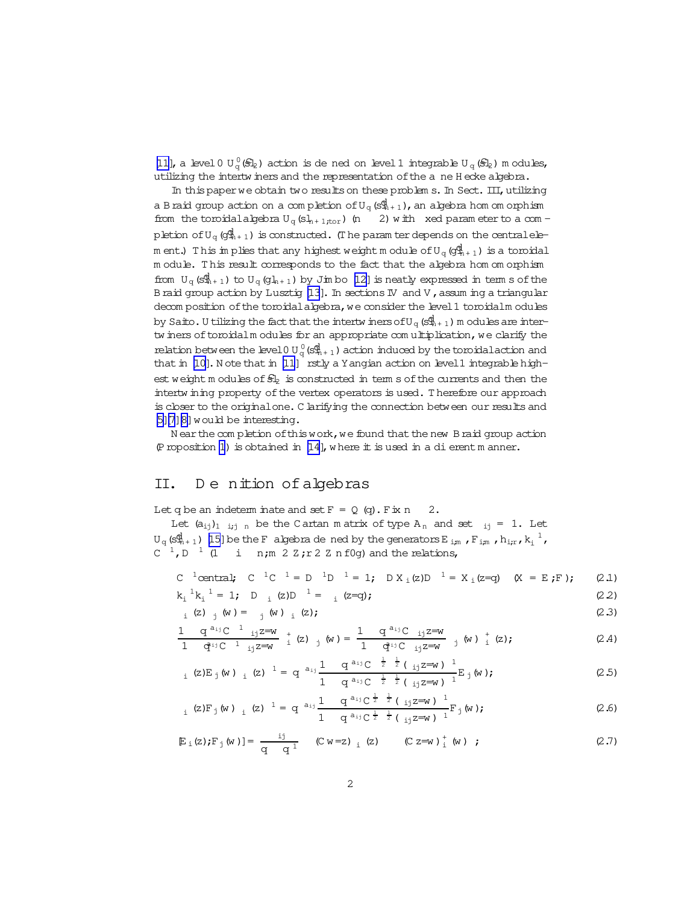<span id="page-1-0"></span> $[11]$  , a level  $0$   ${\rm U}_{\rm q}^0(\mathbb{S}_{\rm Z})$  action is de ned on level  $1$  integrable  ${\rm U}_{\rm q}$   $(\mathbb{S}_{\rm Z})$  m odules, utilizing the intertw iners and the representation of the a ne H ecke algebra.

In this paper we obtain two results on these problem s. In Sect.  $III$ , utilizing a Braid group action on a com pletion of  $U_q$  (s $\frac{d}{dt}_{n+1}$ ), an algebra hom om orphism from the toroidalalgebra  $U_q(s)_{n+1,tor}$  (n 2) with xed param eter to a com pletion of  $U_q$  ( $g_{n+1}^d$ ) is constructed. (T he param ter depends on the central elem ent.) This im plies that any highest weight module of  $U_q$  ( $g_{n+1}^d$ ) is a toroidal m odule. T his result corresponds to the fact that the algebra hom om orphism from  $U_{\alpha}(s_{n+1}^d)$  to  $U_{\alpha}(q_{n+1})$  by Jim bo [\[12\]](#page-19-0) is neatly expressed in term s of the Braid group action by Lusztig  $[13]$ . In sections IV and V, assum ing a triangular decom position of the toroidal algebra, we consider the level 1 toroidalm odules by Saito. U tilizing the fact that the intertw iners of  $U_q(S^{\{d\}}_{n+1})$  m odules are intertw iners of toroidalm odules for an appropriate com ultiplication, we clarify the relation between the level 0 U  $_q^0$  (s $_{\rm th+1}^{\rm d}$  ) action induced by the toroidal action and that in [\[10\]](#page-19-0). N ote that in [\[11](#page-19-0)] rstly a Y angian action on level 1 integrable highest weight m odules of  $s$ <sub>2</sub> is constructed in term s of the currents and then the intertw ining property of the vertex operators is used. Therefore our approach is closer to the original one. C larifying the connection between our results and [\[5](#page-18-0)[\]\[7\]\[8\]](#page-19-0)would be interesting.

N ear the completion of this work, we found that the new B raid group action (P roposition [1](#page-3-0)) is obtained in  $[14]$ , w here it is used in a dierent m anner.

### II. De nition of algebras

Let q be an indeterm inate and set  $F = Q$  (q). Fix n 2.

Let  $(a_{i,j})_{1 \dots i; j \dots n}$  be the Cartan m atrix of type  $A_n$  and set  $i_j = 1$ . Let  ${\tt U}_q$  (s $_{\tt n+1}^{\tt dl}$  ) [\[15\]](#page-19-0) be the F algebra de ned by the generators E  $_{\tt i,m}$  , F  $_{\tt i,m}$  ,  ${\tt h_{\tt i,r}}$  ,  ${\tt k_{\tt i}}^{\tt l}$  ,  $C^{-1}$ ,  $D^{-1}$  (1 i n;m 2 Z;r 2 Z n f0g) and the relations,

C <sup>1</sup>central; C <sup>1</sup>C <sup>1</sup> = D <sup>1</sup>D <sup>1</sup> = 1; D X<sub>i</sub>(z)D <sup>1</sup> = X<sub>i</sub>(z=q) (X = E;F); (2.1)  
\n
$$
k_i^{1}k_i^{1} = 1; D_i(z)D^{-1} = i(z=q);
$$
\n(2.2)

$$
k_{i}^{1}k_{i}^{1} = 1; \quad D_{i} (z)D^{-1} = {}_{i} (z=q); \tag{2.2}
$$
\n
$$
k_{i}^{1}k_{i}^{1} = 1; \quad (D_{i} (z)D^{-1} = {}_{i} (z=q); \tag{2.3}
$$

$$
\frac{1}{1} \quad \frac{q^{a_{i,j}}C^{-1} \quad i_j z = w}{q^{a_{i,j}}C^{-1} \quad i_j z = w} \quad \frac{1}{1} \quad (z) \quad j \quad (w) = \frac{1}{1} \quad \frac{q^{a_{i,j}}C}{q^{a_{i,j}}C} \quad i_j z = w \quad j \quad (w) \quad \frac{1}{1} \quad (z); \tag{2.4}
$$

$$
{}_{i} (z) E_{j} (w) \, {}_{i} (z) \, {}^{1} = q \, {}^{a_{ij}} \frac{1}{1 - q^{a_{ij}} C} \, {}_{z}^{\frac{1}{2}} \frac{1}{2} \left( \, {}_{ij} z = w \, \right)^{\frac{1}{2}} E_{j} (w) ; \tag{2.5}
$$

$$
_{i} (z)F_{j} (w) _{i} (z) ^{1} = q ^{a_{ij}} \frac{1}{1} \frac{q^{a_{ij}} C^{\frac{1}{2}} \frac{1}{2} (i j z=w)^{1}}{q^{a_{ij}} C^{\frac{1}{2}} \frac{1}{2} (j j z=w)^{1}} F_{j} (w); \qquad (2.6)
$$

$$
E_i(z); F_j(w)] = \frac{ij}{q q^1} (C w = z) _i (z) (C z = w) _i^+(w) ; \qquad (2.7)
$$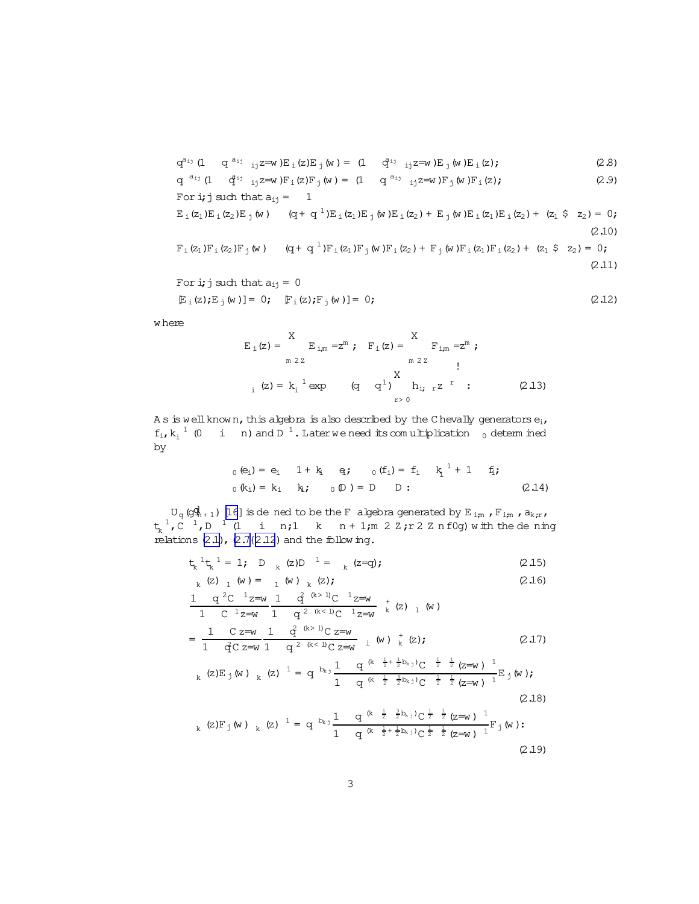$$
q^{a_{ij}} (1 \t q^{a_{ij}})_{ij} z = w E_i(z) E_j(w) = (1 \t q^{a_{ij}})_{ij} z = w E_j(w) E_i(z); \t (2.8)
$$

$$
q^{a_{ij}} (1 \t q^{i_j} i_j z = w) F_i(z) F_j(w) = (1 \t q^{a_{ij}} i_j z = w) F_j(w) F_i(z);
$$
 (2.9)  
For **i**; **j** such that  $a_{ij} = 1$ 

$$
E_{\perp}(z_1)E_{\perp}(z_2)E_{\perp}(w) \qquad (q + q^{-1})E_{\perp}(z_1)E_{\perp}(w)E_{\perp}(z_2) + E_{\perp}(w)E_{\perp}(z_1)E_{\perp}(z_2) + (z_1 \& z_2) = 0;
$$
\n(2.10)

$$
F_{\perp}(z_1)F_{\perp}(z_2)F_{\perp}(w) \qquad (q + q^{-1})F_{\perp}(z_1)F_{\perp}(w)F_{\perp}(z_2) + F_{\perp}(w)F_{\perp}(z_1)F_{\perp}(z_2) + (z_1 \hat{S} z_2) = 0;
$$
\n(2.11)

For **i**; **j** such that 
$$
a_{ij} = 0
$$
  
\n
$$
\mathbb{E}_{i}(\mathbf{z}) \mathbf{E}_{j}(\mathbf{w}) = 0; \quad \mathbb{F}_{i}(\mathbf{z}) \mathbf{F}_{j}(\mathbf{w}) = 0;
$$
\n(2.12)

w here

$$
E_{i}(z) = \sum_{m \ 2Z}^{X} E_{i,m} = z^{m} ; F_{i}(z) = \sum_{m \ 2Z}^{X} F_{i,m} = z^{m} ;
$$
  
\n
$$
E_{i}(z) = k_{i}^{1} exp \qquad (q \ q^{1}) \sum_{r>0}^{X} h_{i,r} z^{r} : (2.13)
$$

A s is well known, this algebra is also described by the C hevally generators  $\mathbf{e_i}$  ,  $f_i, k_i^{-1}$  (0 i n) and D<sup>1</sup>. Laterwe need its comultiplication 0 determined by

$$
0 (e_i) = e_i \t 1 + k_i \t q; \t 0 (f_i) = f_i \t k_i^1 + 1 \t f_i;
$$
  
\n
$$
0 (k_i) = k_i \t k_i; \t 0 (D) = D \t D ; \t (2.14)
$$

 ${\rm U}_q$  (g $\stackrel{\rm d}{\rm q}_{n+1}$  ) [\[16](#page-19-0)] is de ned to be the F algebra generated by E  $_{\rm i,m}$  , F  $_{\rm i,m}$  , a $_{\rm k,r}$  ,  $t_k^{-1}$ ,  $C^{-1}$ ,  $D^{-1}$  (1 i n; 1 k n + 1;m 2 Z; r 2 Z n f0g) with the dening relations  $(2.1)$ ,  $(2.7{2.12})$  $(2.7{2.12})$  and the follow ing.

$$
t_k^1 t_k^1 = 1
$$
; D  $k$  (z)D  $1 = k$  (z=q); (2.15)

$$
k \quad (z) \quad 1 \quad (w) = 1 \quad (w) \quad k \quad (z); \tag{2.16}
$$

$$
\frac{1 \quad q^{2}C^{-1}z=w}{1 \quad C^{-1}z=w} \frac{1 \quad q^{(k>1)}C^{-1}z=w}{1 \quad q^{2(k<1)}C^{-1}z=w} + k (z)_{1} (w)
$$
\n
$$
= \frac{1 \quad C z=w}{1 \quad q^{2}C^{-1}z=w} \frac{1 \quad q^{(k>1)}C^{-1}z=w}{1 \quad q^{2(k<1)}C^{-1}z=w} + k (z); \qquad (2.17)
$$

$$
k (z) E_j (w) k (z)^{-1} = q^{b_{k,j}} \frac{1}{1 - q^{(k - \frac{1}{2} + \frac{1}{2}b_{k,j})} C^{-\frac{1}{2} - \frac{1}{2}} (z = w)^{-1}}{1 - q^{(k - \frac{1}{2} - \frac{3}{2}b_{k,j})} C^{-\frac{1}{2} - \frac{1}{2}} (z = w)^{-1}} E_j (w);
$$
\n(2.18)

$$
k (z) F_j (w) k (z) \quad 1 = q^{b_{k,j}} \frac{1}{1 - q^{(k - \frac{1}{2} - \frac{3}{2}b_{k,j})} C^{\frac{1}{2} - \frac{1}{2}} (z = w)^{-1}}{\frac{1}{1 - q^{(k - \frac{1}{2} + \frac{1}{2}b_{k,j})} C^{\frac{1}{2} - \frac{1}{2}} (z = w)^{-1}}{\frac{1}{1 - \frac{1}{2}C^2}} F_j (w) : \tag{2.19}
$$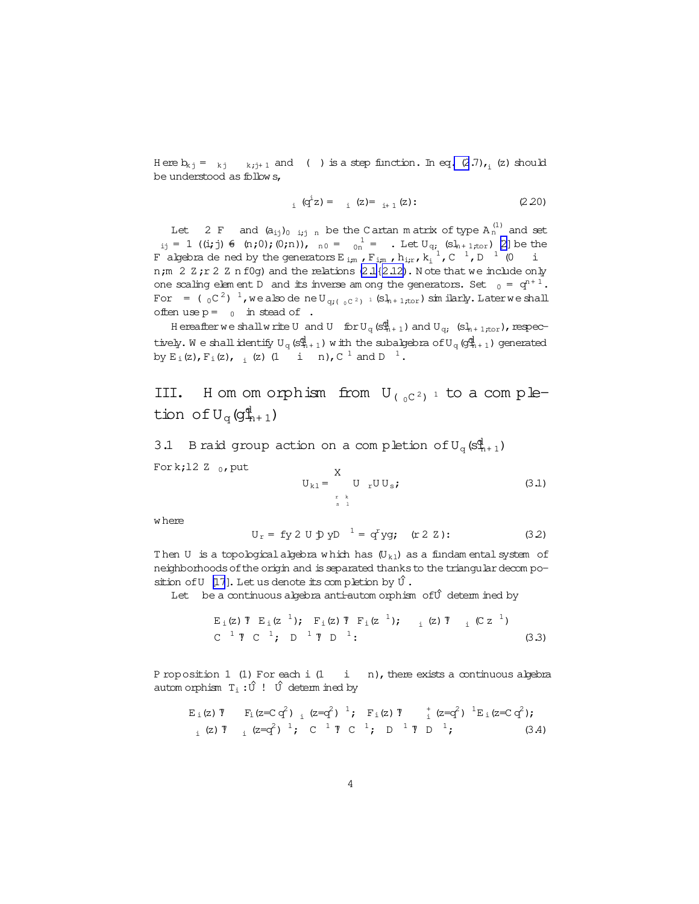<span id="page-3-0"></span>H ere  $b_{kj} = k_j - k_{j+1}$  and ( ) is a step function. In eq[. \(2](#page-1-0).7), (z) should be understood as follow s,

$$
_{i} \, (q^{i}z) = \quad {}_{i} \, (z) = \, {}_{i+1} \, (z) : \tag{2.20}
$$

Let 2 F and  $(a_{ij})_{0-i,j,n}$  be the Cartan matrix of type  $A_n^{(1)}$  and set  $i_{ij} = 1$  ((i; j)  $\in$  (n;0);(0;n)),  $n_0 = 1$  on  $\frac{1}{2}$  . Let  $U_{qi}$  (sl<sub>n+1;tor</sub>) [\[2\]](#page-18-0) be the F algebra de ned by the generators  $E_{i,m}$  ,  $F_{i,m}$  ,  $h_{i,r}$  ,  $k_i^{-1}$  ,  $C^{-1}$  ,  $D^{-1}$  (0 i n;m 2  $Z$ ;r 2  $Z$  n f0g) and the relations  $(2.1\{2.12)$ . Note that we include only one scaling elem ent D and its inverse am ong the generators. Set  $_0 = q^{n+1}$ . For = (  $_0C^2$ )  $^1$ , we also de neU<sub>q;(  $_0C^2$ )</sub>  $_1$  (sl<sub>n+1;tor</sub>) similarly. Laterwe shall often use  $p = 0$  in stead of .

H ereafter we shall write U and U for  $U_q$  (s $\mathbb{Q}_{n+1}$ ) and  $U_q$ ; (s $l_{n+1,tor}$ ), respectively. We shall identify  $U_q(S^{\text{d}}_{n+1})$  w ith the subalgebra of  $U_q(Q^{\text{d}}_{n+1})$  generated by  $E_i(z)$ ,  $F_i(z)$ ,  $i$  (z) (1 i n),  $C^{-1}$  and  $D^{-1}$ .

III. H om om orphism from  $U_{(0)C^2}$ <sup>1</sup> to a completion of  ${\rm U}_{\rm q}$  (g $_{\rm h+1}^{\rm d}$ )

3.1 B raid group action on a completion of  $U_q$  ( $S_{n+1}^d$ )

Fork;12 Z  $_0$ , put

$$
U_{k1} = \sum_{\substack{r \ k \\ s \ 1}}^{K} U_{r} U U_{s}
$$
 (3.1)

w here

$$
U_r = fy 2 U \oplus yD^{-1} = q^r yg; \quad (r 2 Z):
$$
 (3.2)

Then U is a topological algebra w hich has  $(U_{k1})$  as a fundam ental system of neighborhoods of the origin and is separated thanks to the triangular decom po-sition of U [\[17](#page-19-0)]. Let us denote its completion by  $\hat{U}$ .

Let be a continuous algebra anti-autom orphism of  $\hat{U}$  determ ined by

$$
E_i(z) \nabla E_i(z^{-1}); \nabla_E(z) \nabla F_i(z^{-1}); \nabla_E(z^{-1}) = \nabla^2 \nabla E_i(z^{-1})
$$
\n(3.3)

P roposition 1 (1) For each i  $(1 \quad i \quad n)$ , there exists a continuous algebra autom orphism  $T_i : \hat{U}$  !  $\hat{U}$  determ ined by

Ei(z)7! Fi(z=C q2) <sup>i</sup> (z=q2) <sup>1</sup>; Fi(z)7! <sup>+</sup> <sup>i</sup> (z=q2) <sup>1</sup>Ei(z=C q2); <sup>i</sup> (z)7! <sup>i</sup> (z=q2) <sup>1</sup>; C <sup>1</sup> 7! C <sup>1</sup>; D <sup>1</sup> 7! D <sup>1</sup>; (3.4)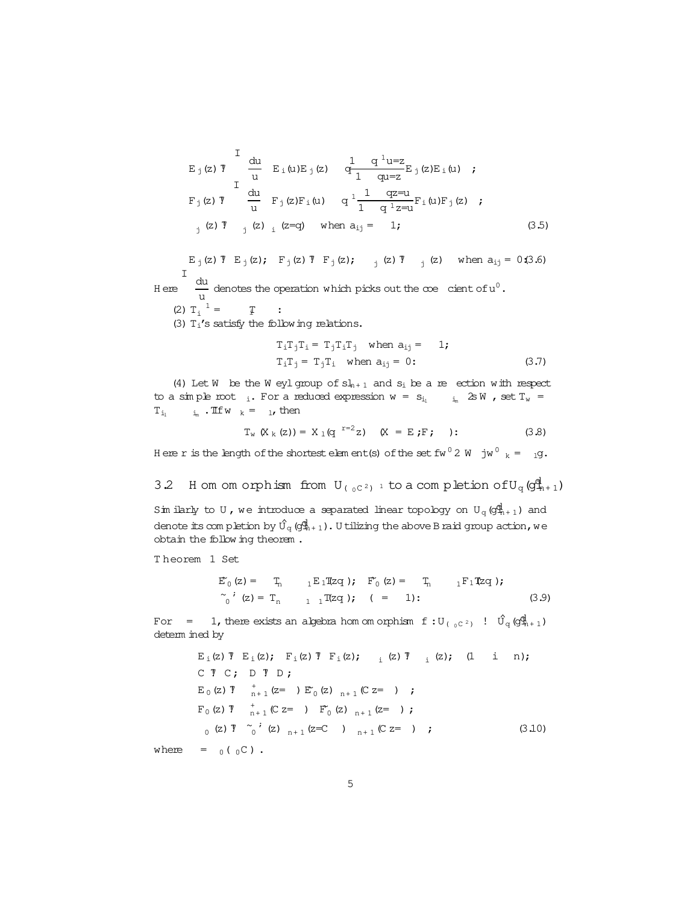<span id="page-4-0"></span>
$$
E_j(z) \text{ }^T \quad \frac{du}{u} \quad E_i(u)E_j(z) \quad \frac{1}{q} \quad \frac{q^1 u = z}{1 - q u = z} E_j(z)E_i(u) \quad ;
$$
\n
$$
F_j(z) \text{ }^T \quad \frac{du}{u} \quad F_j(z)F_i(u) \quad q^1 \frac{1}{1 - q^1 z = u} F_i(u)F_j(z) \quad ;
$$
\n
$$
j(z) \text{ }^T \quad j(z) \quad i \quad (z=q) \quad \text{when } a_{ij} = 1; \tag{3.5}
$$

E<sub>j</sub>(z)  $\bar{T}$  E<sub>j</sub>(z); F<sub>j</sub>(z)  $\bar{T}$  F<sub>j</sub>(z); <sub>j</sub>(z)  $\bar{T}$  <sub>j</sub>(z) when a<sub>ij</sub> = 0.(3.6)  $H$  ere  $\frac{du}{dt}$ I  $\frac{du}{du}$  denotes the operation which picks out the  $\infty$  cient of  $u^0$ . (2)  $T_i$ <sup>1</sup>  $i_i$  = T : (3)  $T_i$ 's satisfy the following relations.

$$
T_i T_j T_i = T_j T_i T_j \quad \text{when } a_{ij} = 1;
$$
  
\n
$$
T_i T_j = T_j T_i \quad \text{when } a_{ij} = 0:
$$
 (3.7)

(4) Let W be the W eyl group of  $sl_{n+1}$  and  $s_i$  be a re ection with respect to a simple root  $\cdot$ . For a reduced expression  $w = s_{i_1} \cdots s_m$  2s W , set  $T_w =$  $T_{i_1}$   $i_m$  . If  $w_k = 1$ , then

 $T_w (X_k (z)) = X_1 (q^{-r=2}z)$   $(X = E;F; )$ : (3.8)

Here r is the length of the shortest element(s) of the set fw  $^0$  2 W  $\,$  jw  $^0$   $_{\rm k}$  =  $\,$   $_{\rm 1}$ g.

3.2 H om om orphism from  $U_{(0)C^2}$  <sup>1</sup> to a completion of  $U_q$  ( $g_{n+1}^d$ )

Sim ilarly to U, we introduce a separated linear topology on  $U_q(q^d_{n+1})$  and denote its com pletion by  $\hat{U}_q$  (g $\hat{q}_{n+1}$ ). U tilizing the above B raid group action, we obtain the follow ing theorem .

T heorem 1 Set

$$
\begin{array}{llll}\n\mathbb{E}_{0}^{\prime}\left(z\right) = & \mathbb{T}_{n} & \ _{1}\mathbb{E}_{1}\mathbb{T}zq \; \text{);} & \mathbb{F}_{0}^{\prime}\left(z\right) = & \mathbb{T}_{n} & \ _{1}\mathbb{F}_{1}\mathbb{T}zq \; \text{);} \\
\widetilde{\phantom{m}}_{0}^{\prime}\left(z\right) = & \mathbb{T}_{n} & \ _{1}\ _{1}\mathbb{T}zq \; \text{);} & \left(z\right) = & 1; & \text{if } \ 1\ \end{array} \tag{3.9}
$$

For = 1, there exists an algebra hom om orphism f:  $U_{(0)C^2}$  !  $\hat{U}_q(g_{n+1}^d)$ determ ined by

$$
E_i(z) T E_i(z); F_i(z) T F_i(z); \t (z) T (1 in);
$$
  
\n
$$
C T C; D T D;
$$
  
\n
$$
E_0(z) T +_{n+1} (z=) E_0(z)_{n+1} (C z=) ;
$$
  
\n
$$
F_0(z) T +_{n+1} (C z=) F_0(z)_{n+1} (z=) ;
$$
  
\n
$$
C_0(z) T C; \t (z) F_0(z)_{n+1} (z=0) ,
$$
  
\n
$$
C_0(z) T C; \t (z) F_0(z)_{n+1} (z=0) ,
$$
  
\n
$$
C_0(z) T C; \t (z) F_0(z)_{n+1} (z=0) ,
$$
  
\n
$$
C_0(z) T C; \t (z) F_0(z)_{n+1} (z=0) ,
$$
  
\n
$$
C_0(z) T C; \t (z) F_0(z)_{n+1} (z=0) ,
$$
  
\n
$$
C_0(z) T C; \t (z) F C; \t (z) F C; \t (z) F C; \t (z) F C; \t (z) F C; \t (z) F C; \t (z) F C; \t (z) F C; \t (z) F C; \t (z) F C; \t (z) F C; \t (z) F C; \t (z) F C; \t (z) F C; \t (z) F C; \t (z) F C; \t (z) F C; \t (z) F C; \t (z) F C; \t (z) F C; \t (z) F C; \t (z) F C; \t (z) F C; \t (z) F C; \t (z) F C; \t (z) F C; \t (z) F C; \t (z) F C; \t (z) F C; \t (z) F C; \t (z) F C; \t (z) F C; \t (z) F C; \t (z) F C; \t (z) F C; \t (z) F C; \t (z) F C; \t (z) F C; \t (z) F C; \t (z) F C; \t (z) F C; \t (z) F C; \t (z) F C; \t (z) F C; \t (z) F C; \t (z) F C; \t (z) F C; \t (z) F C; \t (z) F C; \t (z) F C
$$

where =  $_0($   $_0C)$ .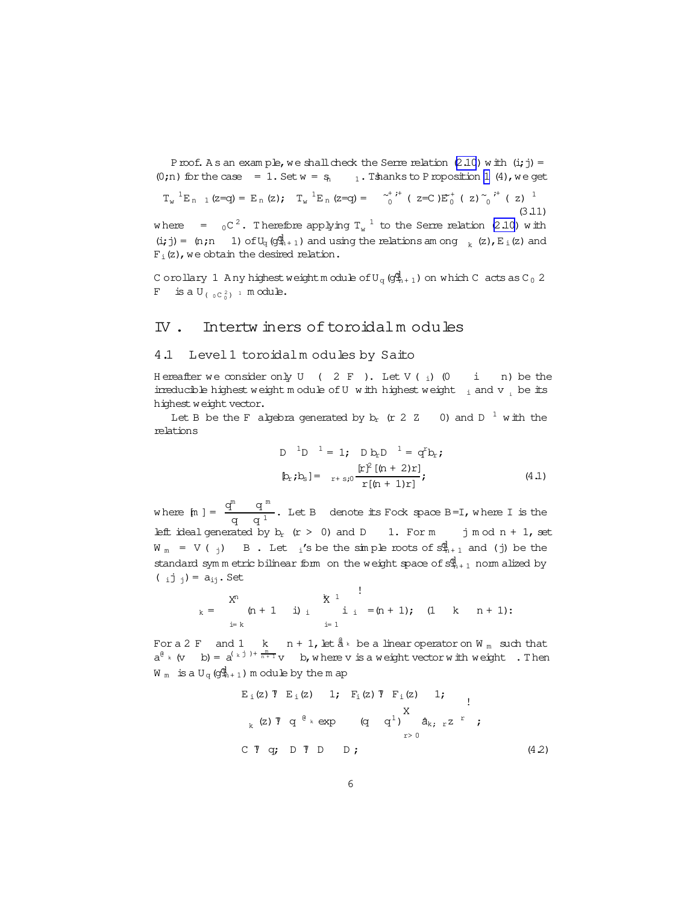Proof. A s an exam ple, we shall check the Serre relation  $(2.10)$  w ith  $(i, j)$  = (0;n) for the case = [1](#page-3-0). Set  $w = s_1$   $1$ . T shanks to P roposition 1 (4), we get

$$
T_w^{-1}E_{n-1}(z=q) = E_n(z); \quad T_w^{-1}E_n(z=q) = \underset{0}{\sim}^{\star}{}^{j+} (z=C)E_0^+ (z) \underset{0}{\sim}{}^{j+} (z)^{-1}
$$
\n(3.11)

where  $=$   $_{0}$ C $^{2}$ . Therefore applying T<sub>w</sub>  $^{1}$  to the Serre relation [\(2.10\)](#page-1-0) with  $(i,j) = (n;n \t 1) of U_q(g_{n+1}^d)$  and using the relations among  $k$  (z),  $E_i(z)$  and  $F_i(z)$ , we obtain the desired relation.

C orollary 1 A ny highest weightm odule of  $U_q$  ( $q_{n+1}^d$ ) on which C acts as C<sub>0</sub> 2 F is a  $U_{(\theta C_0^2)}$  in odule.

## IV. Intertwiners of toroidalm odules

#### 4.1 Level1 toroidalm odules by Saito

H ereafter we consider only U ( 2 F ). Let V ( $_i$ ) (0 i n) be the irreducible highest weight m odule of U w ith highest weight  $\frac{1}{1}$  and v  $\frac{1}{1}$  be its highest weight vector.

Let B be the F algebra generated by  $b_r$  (r 2  $Z$  0) and D  $^1$  with the relations

D <sup>1</sup>D <sup>1</sup> = 1; D b<sub>r</sub>D <sup>1</sup> = q<sup>r</sup>b<sub>r</sub>;  
\n
$$
[b_r; b_s] = r + s_0 \frac{[r]^2 [(n + 2)r]}{r [(n + 1)r]},
$$
\n(4.1)

where  $[n] = \frac{q^{m} - q^{m}}{1}$  $\frac{q}{q}$ . Let B denote its Fock space B=I, where I is the left ideal generated by  $b_r$  (r > 0) and D 1. For m j m od n + 1, set  $W_m = V(\gamma)$  B. Let  $i$ 's be the simple roots of  $\mathcal{S}_{n+1}^d$  and (j) be the standard sym m etric bilinear form on the weight space of  $s_{n+1}^d$  norm alized by ( $i \text{ } j \text{ } j = a_{ij}$ . Set

$$
k = \begin{array}{cccccc} & x^n & & & x & & \cdots & & x^n \\ & (n+1 & i) & i & & i & = (n+1); & (1 & k & n+1); \\ & & & & & & & \vdots \\ & & & & & & & \vdots \\ & & & & & & & \vdots \\ & & & & & & & & \end{array}
$$

Fora 2 F and 1  $\,$  k  $\,$  n + 1, let  $\stackrel{\scriptscriptstyle \mathrm{d}}{\textrm{a}}\,$  be a linear operator on W  $_{\textrm{\tiny{m}}}$  such that  $a^{\theta}$  k (v b) =  $a^{(\kappa j) + \frac{m}{n+1}}v$  b, where v is a weight vector with weight. Then  $W_m$  is a  $U_q$  ( $g_{m+1}^d$ ) m odule by the m ap

$$
E_i(z) T E_i(z) 1; F_i(z) T F_i(z) 1; \n k (z) T q e k exp (q q1) X\n r > 0
$$
\n
$$
C T q; D T D D ;
$$
\n(4.2)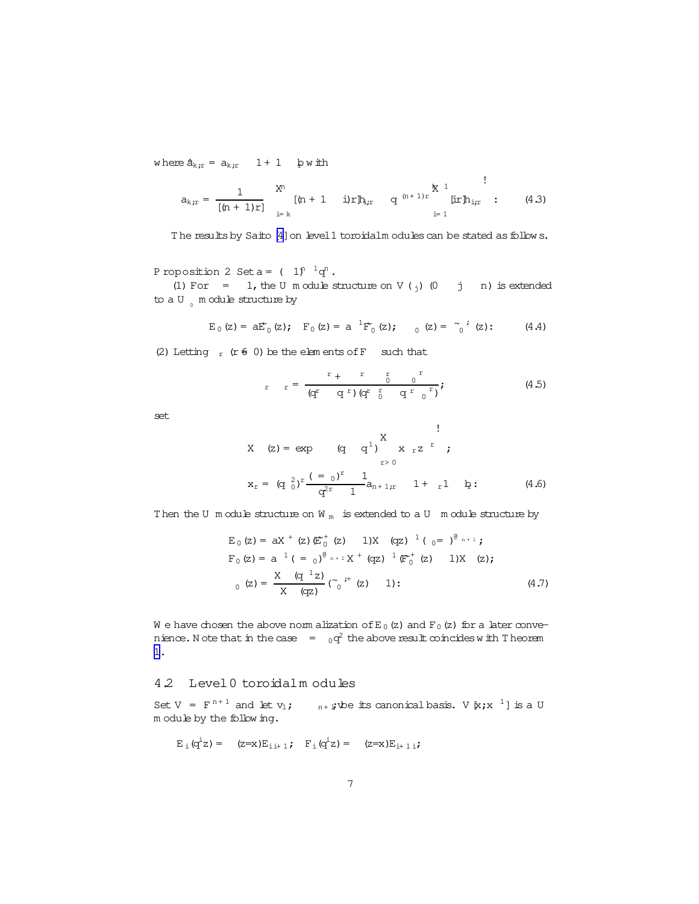where  $a_{k;r} = a_{k;r} 1 + 1$  bw ith

$$
a_{k,r} = \frac{1}{[(n+1)r]} \sum_{i=k}^{X^n} [(n+1-i)r] b_{i,r} \quad q^{(n+1)r} \sum_{i=1}^{k} \text{Iir} b_{i,r} \quad (4.3)
$$

The results by Saito [\[4\]](#page-18-0) on level1 toroidalm odules can be stated as follow s.

P roposition 2 Set a =  $(1)^{n-1}q^n$ .

(1) For = 1, the U m odule structure on V  $(j)$  (0 j n) is extended to a U  $_{\circ}$  m odule structure by

$$
E_0(z) = aE'_0(z);
$$
  $F_0(z) = a^{-1}F'_0(z);$   $0(z) = \begin{bmatrix} 0 \\ 0 \end{bmatrix}$  (z): (4.4)

(2) Letting  $r$  (r  $\neq$  0) be the elem ents of F such that

$$
r = \frac{r + r}{(q^r - q^r) (q^r - q^r - q^r)};
$$
 (4.5)

!

!

set

X (z) = exp (q q<sup>1</sup>)
$$
\begin{array}{c} X \\ x r^2 \\ x^2 \end{array}
$$
;  
\n $x_r = (q_0^2)^r \frac{(-q_0)^r}{q^{2r}} \frac{1}{1} a_{n+1,r} \qquad 1 + r^1 \qquad p$ : (4.6)

Then the U m odule structure on W  $<sub>m</sub>$  is extended to a U m odule structure by</sub>

$$
E_0 (z) = aX^+ (z) \left(\mathbb{E}_0^+ (z) - 1\right)X (qz)^{-1} (qz)^{-\theta_{n+1}};
$$
  
\n
$$
F_0 (z) = a^{-1} (z) e^{\theta_{n+1}} X^+ (qz)^{-1} \left(\mathbb{F}_0^+ (z) - 1\right)X (z);
$$
  
\n
$$
E_0 (z) = \frac{X (q^{-1}z)}{X (qz)} (\tilde{C}_0)^+ (z) - 1);
$$
  
\n(4.7)

W e have chosen the above norm alization of E<sub>0</sub>(z) and F<sub>0</sub>(z) for a later convenience. Note that in the case  $\qquad = \quad 0 q^2$  the above result coincides with T heorem [1.](#page-4-0)

#### 4.2 Level0 toroidalm odules

Set V =  $F^{n+1}$  and let  $v_1$ ;  $v_{n+1}$ ; whe its canonical basis. V  $[x; x^{-1}]$  is a U m odule by the follow ing.

$$
E_i (q^iz) = (z=x)E_{i,i+1}; \quad F_i (q^iz) = (z=x)E_{i+1,i};
$$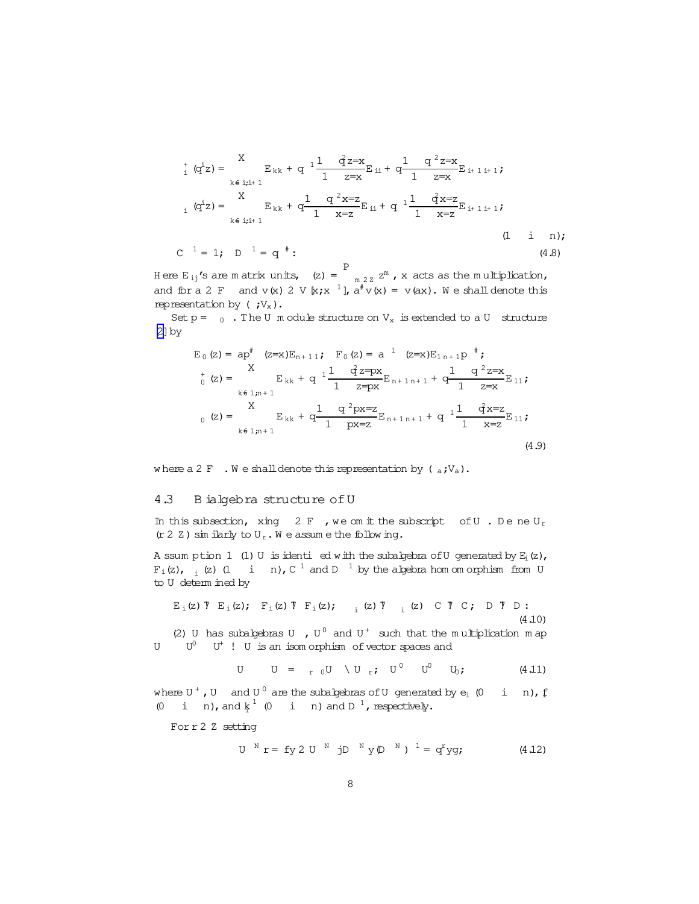$$
{}_{i}^{+} (q^{i}z) = \sum_{k \in i; i+1}^{X} E_{kk} + q^{-1} \frac{1}{1} \frac{q^{i}z=x}{z=x} E_{ii} + q \frac{1}{1} \frac{q^{2}z=x}{z=x} E_{i+1,i+1};
$$
  
\n
$$
{}_{i} (q^{i}z) = \sum_{k \in i; i+1}^{X} E_{kk} + q \frac{1}{1} \frac{q^{2}x=z}{x=z} E_{ii} + q^{-1} \frac{1}{1} \frac{q^{2}x=z}{x=z} E_{i+1,i+1};
$$
  
\n
$$
C^{-1} = 1; \quad D^{-1} = q^{*} : \qquad (4.8)
$$

Here E<sub>ij</sub>'s are matrix units,  $(z) = P$  $_{m \ 2 \ 2}$   $z^{m}$  , x acts as the multiplication, and for a 2 F and v(x) 2 V  $[x; x^{-1}]$ ,  $a^{\#}v(x) = v(ax)$ . We shall denote this representation by  $(y_x)$ .

Set  $p = 0$ . The U m odule structure on  $V_x$  is extended to a U structure [\[2\]](#page-18-0)by

$$
E_0 (z) = ap^{\dagger} (z=x)E_{n+11}; \quad F_0 (z) = a^{-1} (z=x)E_{1n+1}p^{\dagger};
$$
  
\n
$$
{}_{0}^{+} (z) = X E_{kk} + q^{-1} \frac{1}{1} \frac{q^{2}z = px}{z = px} E_{n+1n+1} + q \frac{1}{1} \frac{q^{2}z = x}{z = x} E_{11};
$$
  
\n
$$
{}_{0} (z) = X E_{kk} + q \frac{1}{1} \frac{q^{2}px = z}{px = z} E_{n+1n+1} + q^{-1} \frac{1}{1} \frac{q^{2}x = z}{x = z} E_{11};
$$
  
\n
$$
{}_{k \in 1; n+1} (4.9)
$$

where a 2 F  $\cdot$  W e shall denote this representation by ( $_{a}$ ; $V_{a}$ ).

#### 4.3 B ialgebra structure ofU

In this subsection, xing  $2 F$ , we omit the subscript of U. Dene U<sub>r</sub>  $(r 2 Z)$  sim ilarly to  $U_r$ . We assume the following.

A ssum ption  $1$  (1) U is identi ed with the subalgebra of U generated by  $E_i(z)$ ,  $F_i(z)$ ,  $_i$  (z) (1 i n), C  $^1$  and D  $^1$  by the algebra hom om orphism from U to U determ ined by

$$
E_i(z) \text{ T } E_i(z); \quad F_i(z) \text{ T } F_i(z); \quad i \text{ (z) T } (z) \text{ C } \text{ T } C; \quad D \text{ T } D: \tag{4.10}
$$
\n
$$
(2) \text{ U has subalgebras U } , U^0 \text{ and } U^+ \text{ such that the multiplication map}
$$

U  $U^0$  U<sup>+</sup> ! U is an isom orphism of vector spaces and

$$
U = r_0 U \setminus U_r; U^0 U^0 U_i; (4.11)
$$

where U  $^+$  , U and U  $^0$  are the subalgebras of U generated by  $e_i$  (0  $\,$  i  $\,$  n),  $\rm f$ (0 i n), and  $k^1$  (0 i n) and  $D^1$ , respectively.

Forr2 Z setting

$$
U^N r = f y 2 U^N j D^N y (D^N)^1 = q^r y q;
$$
 (4.12)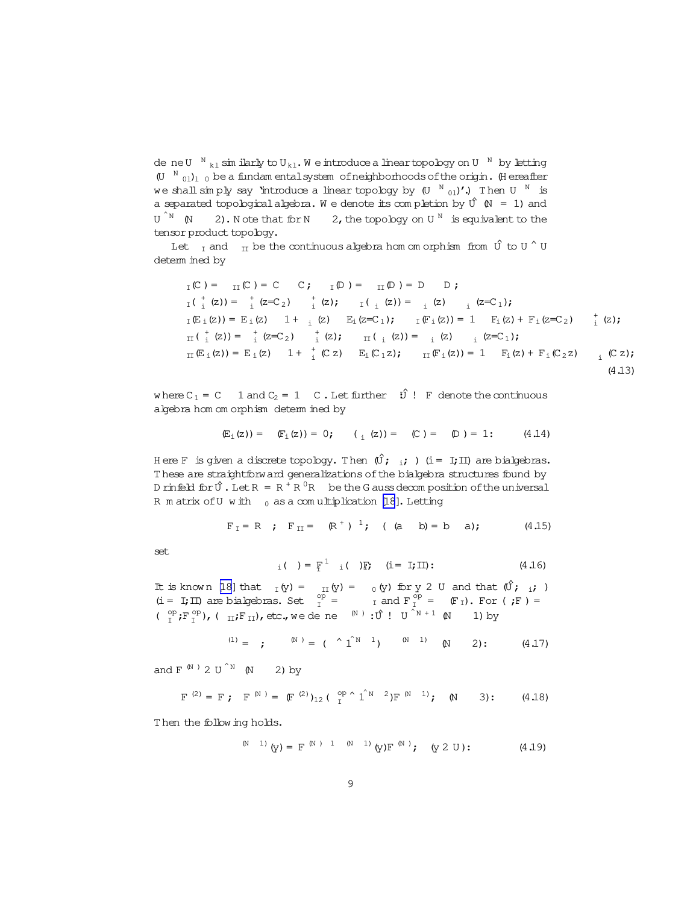<span id="page-8-0"></span>de ne $U^{-N}$   $_{k1}$  sim ilarly to  $U_{k1}$ . We introduce a lineartopology on  $U^{-N}$  by letting  $(U^{N}$ <sub>01</sub>)<sub>1</sub> <sup>0</sup> be a fundam entalsystem of neighborhoods of the origin. (H ereafter we shall simply say 'introduce a linear topology by  $\,$  (U  $^{-{\rm N}}$   $_{01})$ '.) Then U  $^{-{\rm N}}$  is a separated topological algebra. We denote its completion by  $\hat{U}$  (N = 1) and  $U \stackrel{\wedge}{\neg} M$  (N  $\hat{N}$  (N 2). Note that for N 2, the topology on U  $^N$  is equivalent to the tensor product topology.

Let  $_{\text{I}}$  and  $_{\text{II}}$  be the continuous algebra hom om orphism from  $\hat{U}$  to U  $\hat{U}$  U determ ined by

$$
T(C) = T(C) = C \t C; \t T(D) = T(D) = D \t D;
$$
  
\n
$$
T(\frac{1}{i}(z)) = \frac{1}{i}(z - C_2) \frac{1}{i}(z); \t T(\frac{1}{i}(z)) = \frac{1}{i}(z) \frac{1}{i}(z - C_1);
$$
  
\n
$$
T(E_1(z)) = E_1(z) \t 1 + \frac{1}{i}(z) \t E_1(z - C_1); \t T(F_1(z)) = 1 \t F_1(z) + F_1(z - C_2) \frac{1}{i}(z);
$$
  
\n
$$
T(\frac{1}{i}(z)) = \frac{1}{i}(z - C_2) \frac{1}{i}(z); \t T(\frac{1}{i}(z)) = \frac{1}{i}(z) \t T(E_1(z)) = 1 \t F_1(z) + F_1(C_2z) \frac{1}{i}(C_2);
$$
  
\n
$$
T(\frac{1}{i}(z)) = E_1(z) \t 1 + \frac{1}{i}(C_2) \t E_1(C_1z); \t T(\frac{1}{i}(z)) = 1 \t F_1(z) + F_1(C_2z) \frac{1}{i}(C_2);
$$
  
\n(4.13)

where  $C_1 = C$  1 and  $C_2 = 1$  C. Let further  $\hat{U}$ ! F denote the continuous algebra hom om orphism determ ined by

$$
E_{\text{i}}(z)) = E_{\text{i}}(z) = 0; \qquad (E_{\text{i}}(z)) = E_{\text{i}}(z) = E_{\text{i}}(z) = 0; \qquad (4.14)
$$

H ere F is given a discrete topology. Then  $(\hat{U}; i; j)$  (i= I;II) are bialgebras. T hese are straightforward generalizations ofthe bialgebra structures found by D rinfeld for  $\hat{U}$ . Let  $R = R^{\dagger} R^0 R$  be the G auss decomposition of the universal R m atrix of U w ith  $_0$  as a com ultiplication [\[18](#page-19-0)]. Letting

$$
F_{I} = R
$$
 ;  $F_{II} = (R^{+})^{1}$ ; ( (a b) = b a); (4.15)

set

$$
i_{i}( ) = F^{1} i_{i} ( )F; \t(i = 1; II); \t(4.16)
$$

It is known [\[18\]](#page-19-0) that  $I_Y(y) = I_Y(y) = 0$  (y) for y 2 U and that  $(\hat{U}$ ; i;)  $(i = I; II)$  are bialgebras. Set  $I_I^{\text{op}} = I$  and  $F_I^{\text{op}} = F_I$ ). For (;F) =  $(\begin{array}{cc} \n\circ p \\ \n\circ \n\end{array}; F^{\text{op}}_{\perp}), (\begin{array}{cc} \n\text{II}; F_{\text{II}}), \text{etc., we define} \n\end{array}$  we dene  $(\begin{array}{cc} \n\circ p \\ \n\circ \n\end{array}; \begin{array}{cc} \n\circ p \\ \n\circ p \n\end{array} \begin{array}{cc} \n\circ p \\ \n\circ p \n\end{array} \begin{array}{cc} \n\circ p \\ \n\circ p \n\end{array}$ 

$$
^{(1)} = \qquad ; \qquad ^{(N)} = ( \qquad ^{^{\wedge}} \mathbf{1}^{^{\wedge}} \mathbf{1} ) \qquad ^{(N)} \qquad ^{(1)} \qquad (N) \qquad 2) : \qquad (4.17)
$$

and F<sup>(N)</sup> 2 U<sup>^N</sup> (N) 2) by

$$
F^{(2)} = F ; F^{(N)} = (F^{(2)})_{12} (C^{op}_{I} \wedge \hat{1}^{N-2}) F^{(N-1)} ; (N-3) : (4.18)
$$

T hen the follow ing holds.

$$
^{(N-1)} (y) = F^{(N-1-1)} (y) F^{(N)}, (y 2 U); \qquad (4.19)
$$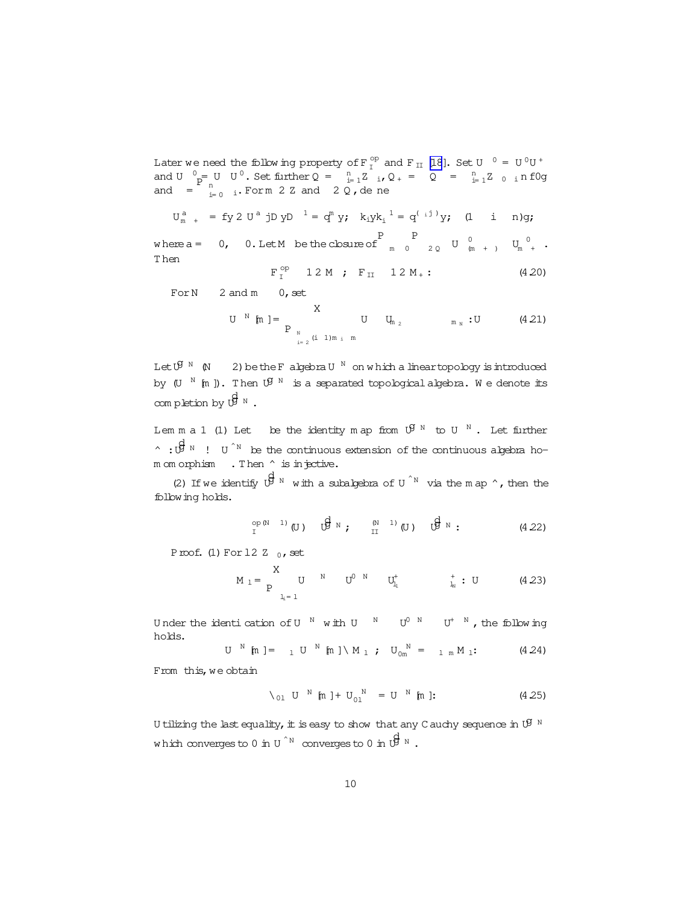<span id="page-9-0"></span>Later we need the following property of  $F_T^{op}$  and  $F_{II}$  [\[18](#page-19-0)]. Set U  $^0 = U^0U^+$ and U  $_{p}^{0}$  = U U<sup>0</sup>. Set further Q =  $_{i=1}^{n}Z_{i}$ , Q + = Q =  $_{i=1}^{n}Z_{0}$  in f0g and  $v = \frac{p}{p} \times 0$  of  $v = 0$ . Set infinitely  $v = \frac{p}{p} \times 1$  is  $v = \frac{p}{p} \times 1$ .

$$
U_m^a
$$
 + = fy 2 U<sup>a</sup> jD yD<sup>1</sup> = q<sup>m</sup> y;  $k_1yk_1^1 = q^{(.j)}y$ ; (1 i n)g;  
\nwhere a = 0, 0. Let M be the closure of  $\begin{bmatrix} P & P \\ m & 0 & 20 \end{bmatrix}$   $\begin{bmatrix} 0 & 1 \\ m & 1 \end{bmatrix}$ 

m 0  $2Q$  U  $\left(\frac{0}{m}\right)$  $\begin{array}{ccc} 0 & & & \textrm{U}_m \end{array} \quad \begin{array}{ccc} \textrm{U}_m & 0 & & \textrm{.} \end{array}$ T hen

$$
F_{I}^{op}
$$
 1 2 M ;  $F_{II}$  1 2 M<sub>+</sub> : (4.20)

For  $N$  2 and  $m$  0, set

U <sup>N</sup> [m] = 
$$
\sum_{\substack{N \ n=2 \ (i \ 1)m_1 m}}^{X}
$$
 U  $U_{m_2}$  m<sub>N</sub>:U (4.21)

Let  $\mathfrak{G}^{\scriptscriptstyle\mathrm{N}}$  (N  $\quad$  2) be the F algebra U  $^{\scriptscriptstyle\mathrm{N}}$  on which a linear topology is introduced by (U  $^{\text{N}}$  [m ]). Then  $\mathfrak{G}^{\text{N}}$  is a separated topological algebra. We denote its completion by  $\overrightarrow{\theta}^{\text{N}}$  .

Lem m a 1 (1) Let be the identity map from  $\mathfrak{G}^{\text{N}}$  to U  $^{\text{N}}$  . Let further  $\hat{p}^{\text{d}}$   $\hat{p}^{\text{d}}$   $\hat{p}$  i  $\hat{p}^{\text{d}}$  be the continuous extension of the continuous algebra hom om orphism . Then  $\hat{ }$  is injective.

(2) If we identify  $\bigoplus^d N$  with a subalgebra of U<sup>^N</sup> via the m ap ^, then the following holds.

op(N 1) <sup>I</sup> (U) dg<sup>U</sup> <sup>N</sup> ; (N 1) II (U) dg<sup>U</sup> <sup>N</sup> : (4.22)

Proof. (1) For  $12Z_0$ , set

$$
M_1 = \frac{X}{P} U^N U^{0 N} U^{\dagger}_{l_1} U^{\dagger}_{l_2} U^{\dagger}_{l_3}
$$
 (4.23)

Under the identication of U  $^{\text{N}}$  with U  $^{\text{N}}$  U<sup>0 N</sup> U<sup>+ N</sup>, the following holds.

$$
U^{N} \text{ [m]} = {}_{1} U^{N} \text{ [m]} \setminus M_{1} ; U_{0m}^{N} = {}_{1} {}_{m} M_{1} ; \qquad (4.24)
$$

From this, we obtain

$$
\setminus_{01} U^{N} [m] + U_{01}^{N} = U^{N} [m] \tag{4.25}
$$

U tilizing the last equality, it is easy to show that any C auchy sequence in  $\mathfrak{G}^{\mathbb{N}}$ which converges to 0 in U  $\hat{N}$  converges to 0 in  $\overrightarrow{B}$   $^{\text{N}}$  .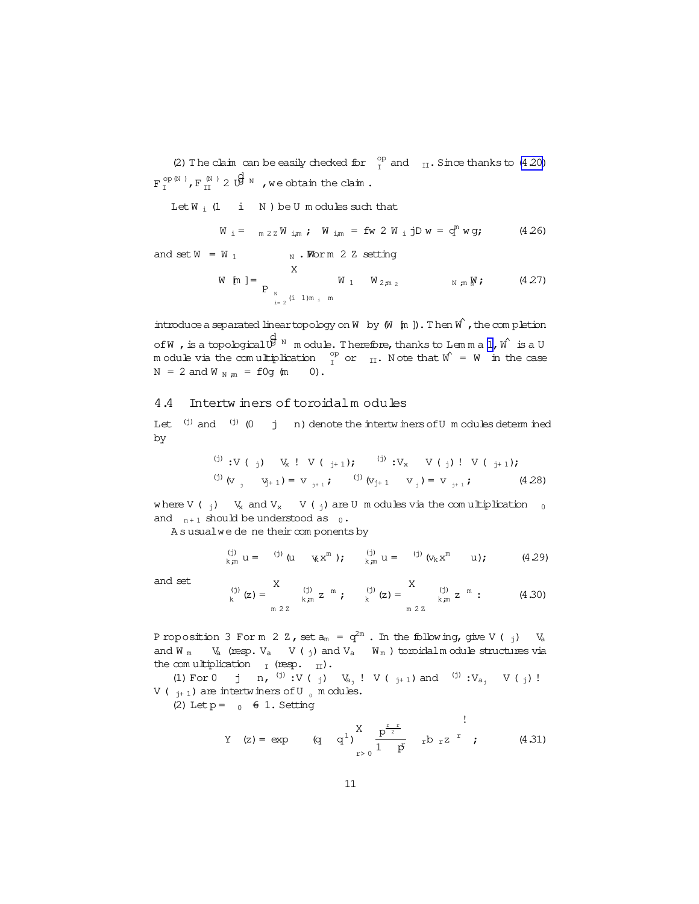<span id="page-10-0"></span>(2) The claim can be easily checked for  $\frac{op}{I}$  and  $\frac{I}{II}$ . Since thanks to [\(4.20\)](#page-9-0)  $\mathbf{F}_\mathrm{I}^{\mathrm{op}(\mathbb{N}^-)}$ ,  $\mathbf{F}_\mathrm{II}^{\mathrm{M}^-)}$  2  $\overrightarrow{\mathbf{U}}^{\mathrm{M}^-}$  , we obtain the claim.

Let  $W_i$  (1 i N ) be U m odules such that

$$
W_i = \frac{m}{2Z} W_{i,m}
$$
;  $W_{i,m} = fw 2 W_i jD w = q^m w g$ ; (4.26)

and set  $W = W_1$   $W \cdot W$ orm 2 Z setting

W [m] = 
$$
\sum_{\substack{N \ n = 2 \ (i \ 1)m_i m}} W_1 W_{2m_2}
$$
 N m M ; (4.27)

introduce a separated linear topology on W by  $(W \nvert m)$ . Then  $W \nvert$ , the completion of W , is a topological  $\stackrel{\text{d}}{\mathbb{B}}$  <sup>N</sup> module. Therefore, thanks to Lemma [1,](#page-9-0) W  $\,$  is a U m odule via the comultiplication  $\int_{I}^{\text{op}}$  or  $\int_{II}$ . Note that  $\hat{W} = W$  in the case  $N = 2$  and  $W_{N,m} = f0q$  (m 0).

#### 4.4 Intertw iners of toroidalm odules

Let  $(i)$  and  $(i)$  (0 j n) denote the intertw iners of U m odules determ ined by

$$
(i) \, y \, (j) \, y \, (j) \, y \, (j) \, (j+1); \qquad (ii) \, y \, (j) \, (i) \, (j+1);
$$
\n
$$
(ii) \, (i) \, (i) \, (j+1) \, (j) \, (k+1) \, (l+1) \, (l+28)
$$

where V ( $_{j}$ ) V<sub>x</sub> and V<sub>x</sub> V ( $_{j}$ ) are U m odules via the comultiplication  $_{0}$ and  $n+1$  should be understood as  $0 \cdot$ 

A s usualwe de ne their com ponents by

$$
\sum_{k,m}^{(j)} u = \sum_{j=0}^{(j)} (u - \kappa x^m) ; \qquad \sum_{k,m}^{(j)} u = \sum_{j=0}^{(j)} (\kappa_k x^m - u) ; \qquad (4.29)
$$

and set

$$
P_{k}^{(j)}(z) = \sum_{\substack{k,m \ 2 \, \text{m} \ 2}}^{X} \frac{p_{j}}{k} \, z^{-m} \, ; \qquad p_{k}^{(j)}(z) = \sum_{\substack{k,m \ 2 \, \text{m} \ 2}}^{X} \frac{p_{j}}{k} \, z^{-m} \, : \qquad (4.30)
$$

Proposition 3 Form 2 Z, set  $a_m = q^{2m}$  . In the following, give V (  $_j$ ) Va and W  $_{\text{m}}$  V<sub>a</sub> (resp. V<sub>a</sub> V ( $_{\text{j}}$ ) and V<sub>a</sub> W<sub>m</sub>) toroidalm odule structures via the comultiplication  $I_I$  (resp.  $II$ ).

(1) For 0 j n, <sup>(j)</sup> :V (<sub>j</sub>)  $V_{a_j}$ ! V (<sub>j+1</sub>) and <sup>(j)</sup> :V<sub>a<sub>j</sub> V (<sub>j</sub>)!</sub> V ( $_{i+1}$ ) are intertwiners of U  $_{0}$  m odules.

(2) Let  $p = 0 \in 1$ . Setting

Y (z) = exp (q q<sup>1</sup>)
$$
\sum_{r>0}^{X} \frac{p^{\frac{r}{2}}}{1-p} r^{b} r^{z} r
$$
 (4.31)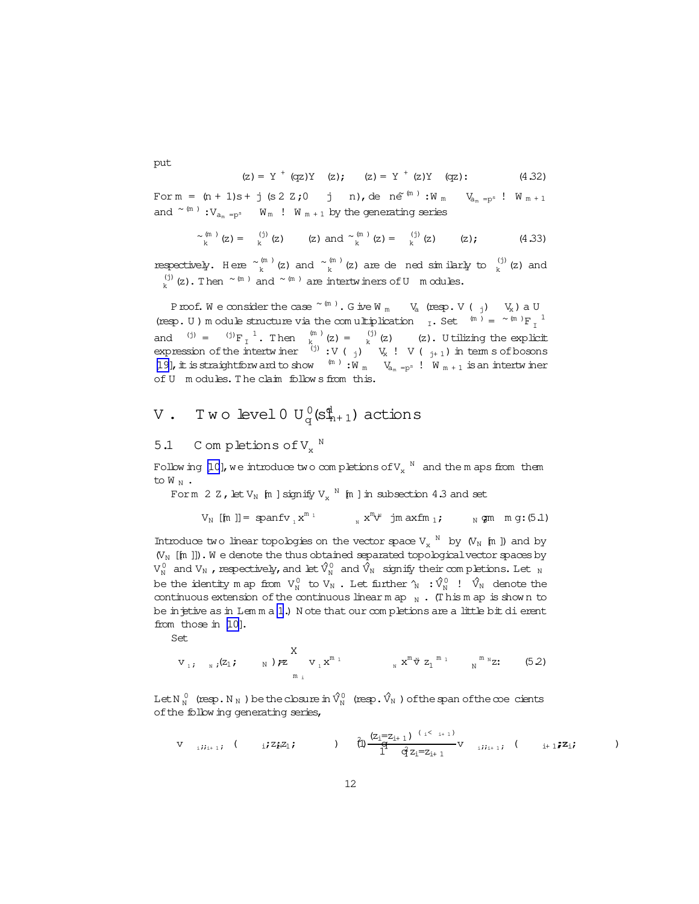$$
(z) = Y+ (qz)Y (z); (z) = Y+ (z)Y (qz); (4.32)
$$

For  $m = (n + 1)s + j (s 2 Z; 0 j n)$ , de  $n e^{(m)} : W_m$   $V_{a_m = p^s}$  !  $W_{m+1}$ and  $\sim$ <sup>(m)</sup> : $V_{a_m}$ <sub>=ps</sub> W<sub>m</sub> ! W<sub>m+1</sub> by the generating series

$$
\sim_{k}^{(m)}(z) = {^{(j)}\choose k}(z) \qquad (z) \text{ and } \sim_{k}^{(m)}(z) = {^{(j)}\choose k}(z) \qquad (z); \qquad (4.33)
$$

respectively. Here  $\sim_k^{(m)}$  (z) and  $\sim_k^{(m)}$  (z) are de ned similarly to  $\frac{1}{k}$  (z) and (j) (i) (z). Then  $\sim$  (m) and  $\sim$  (m) are intertwiners of U m odules.

Proof. We consider the case  $\sim$  (m). G ive W <sub>m</sub> V<sub>a</sub> (resp. V (<sub>j</sub>) V<sub>x</sub>) a U (resp. U ) m odule structure via the comultiplication  $I_L$ . Set  $\binom{m}{m} = \binom{m}{m} F_I^{-1}$ and  $f^{(j)} = f^{(j)}F_{I}^{-1}$ . Then  $f^{(m)}_{K}$  (z) =  $f^{(j)}_{K}$  (z) (z). U tilizing the explicit expression of the intertwiner  $(i)$ :  $V$  (j)  $V_x$  !  $V$  (j<sub>+1</sub>) in term s of bosons [\[19\]](#page-19-0), it is straightforward to show  $^{(m)}:W_m$   $V_{a_m = p^s}$  !  $W_{m+1}$  is an intertw iner of U m odules. The claim follow s from this.

# V . Two level  $0$   ${\rm U}_{\rm q}^{\,0}({\rm s}_{\scriptscriptstyle \rm R+1}^{\scriptscriptstyle 4})$  actions

## 5.1 C om pletions of  $V_x$ <sup>N</sup>

Follow ing [\[10](#page-19-0)], we introduce two completions of  $\mathrm{V_{x}}^{\mathrm{N}}$  and the maps from them to  $W_N$ .

Form 2 Z, let  $V_N$  [m ] signify  $V_x$  <sup>N</sup> [m ] in subsection 4.3 and set

$$
V_N\text{ [[m]]= spanfv } _1x^{\mathfrak{m} }_1 \qquad \qquad _Nx^{\mathfrak{m} }_v y^{\mathfrak{m} } \text{ jm axfm } _1; \qquad \qquad _N\text{ gm } \text{ m g: (5.1)}
$$

Introduce two linear topologies on the vector space  $V_x$  <sup>N</sup> by  $(V_N$  [m ]) and by  $(V_N$  [[m ]]). We denote the thus obtained separated topological vector spaces by  $V_{N}^{0}$  and  $V_{N}$  , respectively, and let  $\hat{V}_{N}^{0}$  and  $\hat{V}_{N}$  signify their com pletions. Let  $_{N}$ be the identity map from  $V_{N}^{0}$  to  $V_{N}$  . Let further  $\hat{\gamma}_{N}$  :  $\hat{V}_{N}^{0}$  !  $\hat{V}_{N}$  denote the continuous extension of the continuous linearmap  $_N$ . (This map is shown to be in jetive as in Lemma [1](#page-9-0).) N ote that our completions are a little bit dierent from those in [\[10\]](#page-19-0).

Set

$$
v_{1}; \quad v_{i}(z_{1}; \dots, y) \nleftrightarrow \sum_{m_{i}}^{X} v_{1} x^{m_{1}} \dots x^{m_{i}} z_{1}^{m_{1}} \dots w_{N}^{m_{N}} z_{N}.
$$
 (5.2)

Let N  $^0_\text{N}$  (resp. N  $_\text{N}$  ) be the closure in  $\hat{\mathrm{V}}^0_\text{N}$  (resp.  $\hat{\mathrm{V}}_\text{N}$  ) of the span of the  $\infty$ e cients of the follow ing generating series,

$$
V_{i,j;i+1,i} \t (i j z_{i} z_{i} z_{i} ; ) \t (j) \frac{(z_{i} = z_{i+1})^{(i \t i + 1)}}{1} V_{i,i+1,i} \t (i + 1) z_{i} ;
$$

<span id="page-11-0"></span>put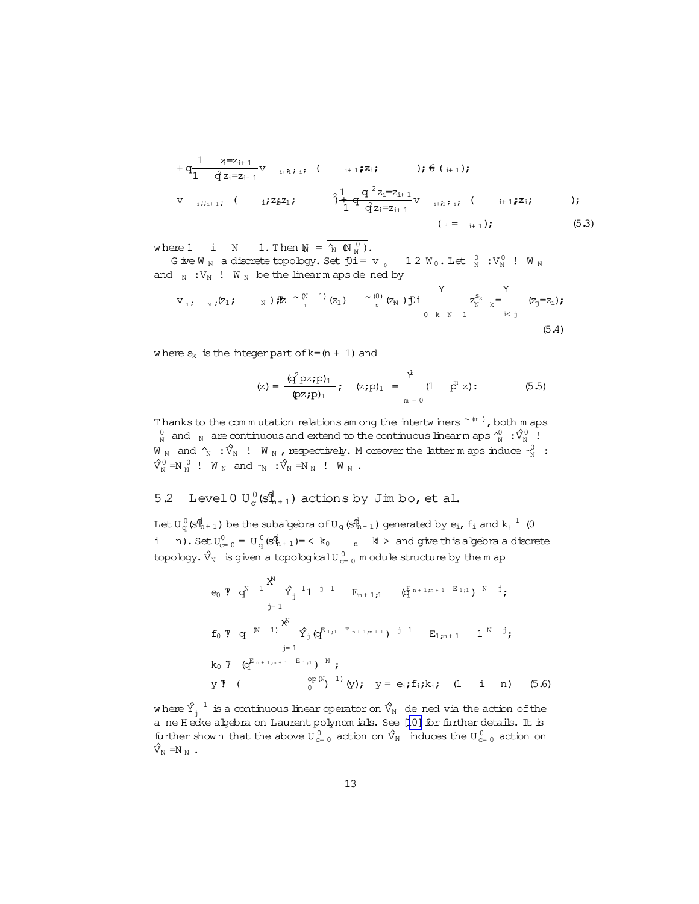<span id="page-12-0"></span>+ q 1 zi=zi+ 1 1 q<sup>2</sup>zi=zi+ 1 v i+ 1;;i; ( i+ 1;zi; );<sup>i</sup> 6= (i+ 1); v i;;i+ 1 ; ( i;zi;z+ 1; )+ q <sup>2</sup> 1 q <sup>2</sup>zi=zi+ 1 1 q<sup>2</sup>zi=zi+ 1 v i+ 1;;i; ( i+ 1;zi; ); ( <sup>i</sup> = <sup>i</sup>+ 1); (5.3)

where 1 i N 1. Then  $M = \frac{1}{N} (N_N^0)$ .

G ive W <sub>N</sub> a discrete topology. Set  $\overline{p}$ i = v <sub>0</sub> 1 2 W <sub>0</sub>. Let  $\frac{0}{N}$  : V<sub>N</sub> ! W <sub>N</sub> and  $_N : V_N : W_N$  be the linearm aps dened by  $\ddot{x}$ 

$$
v_{1}; \quad_{N}; (z_{1}; \quad N); \mathbb{Z} \stackrel{\sim (N)}{=} \begin{bmatrix} 1 \\ 2 \end{bmatrix} \quad \begin{bmatrix} 2 \\ 2 \end{bmatrix} \quad \begin{bmatrix} 0 \\ 2 \end{bmatrix} \quad \begin{bmatrix} Y \\ 2 \end{bmatrix} \quad \begin{bmatrix} Y \\ 2 \end{bmatrix} \quad \begin{bmatrix} Y \\ k \end{bmatrix} \quad \begin{bmatrix} 0 \\ k \end{bmatrix} \quad \begin{bmatrix} 0 \\ k \end{bmatrix} \quad \begin{bmatrix} 0 \\ 0 \\ k \end{bmatrix} \quad \begin{bmatrix} 0 \\ k \end{bmatrix} \quad \begin{bmatrix} 0 \\ k \end{bmatrix} \quad \begin{bmatrix} 0 \\ k \end{bmatrix} \quad \begin{bmatrix} 0 \\ k \end{bmatrix} \quad \begin{bmatrix} 0 \\ k \end{bmatrix} \quad \begin{bmatrix} 0 \\ k \end{bmatrix} \quad \begin{bmatrix} 0 \\ k \end{bmatrix} \quad \begin{bmatrix} 0 \\ k \end{bmatrix} \quad \begin{bmatrix} 0 \\ k \end{bmatrix} \quad \begin{bmatrix} 0 \\ k \end{bmatrix} \quad \begin{bmatrix} 0 \\ k \end{bmatrix} \quad \begin{bmatrix} 0 \\ k \end{bmatrix} \quad \begin{bmatrix} 0 \\ k \end{bmatrix} \quad \begin{bmatrix} 0 \\ k \end{bmatrix} \quad \begin{bmatrix} 0 \\ k \end{bmatrix} \quad \begin{bmatrix} 0 \\ k \end{bmatrix} \quad \begin{bmatrix} 0 \\ k \end{bmatrix} \quad \begin{bmatrix} 0 \\ k \end{bmatrix} \quad \begin{bmatrix} 0 \\ k \end{bmatrix} \quad \begin{bmatrix} 0 \\ k \end{bmatrix} \quad \begin{bmatrix} 0 \\ k \end{bmatrix} \quad \begin{bmatrix} 0 \\ k \end{bmatrix} \quad \begin{bmatrix} 0 \\ k \end{bmatrix} \quad \begin{bmatrix} 0 \\ k \end{bmatrix} \quad \begin{bmatrix} 0 \\ k \end{bmatrix} \quad \begin{bmatrix} 0 \\ k \end{bmatrix} \quad \begin{bmatrix} 0 \\ k \end{bmatrix} \quad \begin{bmatrix} 0 \\ k \end{bmatrix} \quad \begin{bmatrix} 0 \\ k \end{bmatrix} \quad \begin{bmatrix} 0 \\ k \end{bmatrix} \quad \begin{bmatrix} 0 \\ k \end{bmatrix} \quad
$$

where  $s_k$  is the integer part of  $k=(n + 1)$  and

$$
\text{(z)} = \frac{(q^2 \text{pz}; p)_1}{(pz; p)_1}; \quad \text{(z;} p)_1 = \frac{Y}{m = 0} \quad \text{(1)} \quad p^n \text{ z}; \quad \text{(5.5)}
$$

Thanks to the commutation relations am ong the intertwiners  $\sim$  (m), both m aps  $_{\textrm{\tiny{N}}}^{0}$  and  $_{\textrm{\tiny{N}}}$  are continuous and extend to the continuous linearm aps  $_{\textrm{\tiny{N}}}^{\wedge}$   $\cdot$   $\hat{\textrm{V}}_{\textrm{\tiny{N}}}^{0}$  ! W  $_N$  and  $\hat{\gamma}_N$  :  $\hat{V}_N$  ! W  $_N$  , respectively. M oreover the latter m aps induce  $\hat{\gamma}_N^0$  :  $\hat{V}_{N}^{0} = N_{N}^{0}$  !  $W_{N}$  and  $\gamma_{N}$  : $\hat{V}_{N} = N_{N}$  !  $W_{N}$ .

# 5.2 Level 0  $U_q^0$ ( $s_{n+1}^d$ ) actions by Jim bo, et al.

Let U  $_{\rm q}^0$  (s $_{\rm n+1}^{\rm d}$ ) be the subalgebra of U  $_{\rm q}$  (s $_{\rm n+1}^{\rm d}$ ) generated by  ${\rm e}_{\rm i}$ ,  ${\rm f}_{\rm i}$  and  ${\rm k}_{\rm i}$   $^{\rm 1}$  (0 i n). Set  $U_{c=0}^0 = U_q^0$  (s $\frac{dq}{h+1}$ ) = < k<sub>0</sub> n kl > and give this algebra a discrete topology.  $\hat{V}_\mathrm{N}$  is given a topological U  $_{\mathrm{c}=~0}^{0}$  m odule structure by the m ap

$$
e_0 \text{ T } q^{N} \xrightarrow{1} \hat{X}^1 \hat{Y}_j \xrightarrow{1} 1 \xrightarrow{j} 1 \qquad E_{n+1,j} \qquad (\hat{G}^{n+1,n+1} \xrightarrow{E_{1,j}})^{N} \xrightarrow{j}
$$
\n
$$
f_0 \text{ T } q^{(N-1)} \xrightarrow{X^N} \hat{Y}_j (q^{E_{1,j}} \xrightarrow{E_{n+1,n+1}})^{j} \xrightarrow{1} E_{1,n+1} \xrightarrow{1} \xrightarrow{N} j
$$
\n
$$
k_0 \text{ T } (q^{E_{n+1,n+1}} \xrightarrow{E_{1,j}})^{N} ;
$$
\n
$$
y \text{ T } (\qquad \qquad \frac{\text{op}(N)}{\text{op}})^{1)} (y); \quad y = e_i f_i k_i; \quad (1 \qquad i \qquad n) \quad (5.6)
$$

where  $\hat{Y}^{-1}_j$  is a continuous linear operator on  $\hat{V}_\text{N}$  de ned via the action of the a ne H ecke algebra on Laurent polynom ials. See [[10\]](#page-19-0) for further details. It is further shown that the above  $U_{c=0}^{0}$  action on  $\hat{V}_{N}$  induces the  $U_{c=0}^{0}$  action on  $\hat{\triangledown_{\scriptscriptstyle \mathrm{N}}}=_{\mathrm{N_{\scriptscriptstyle \mathrm{N}}}}$  .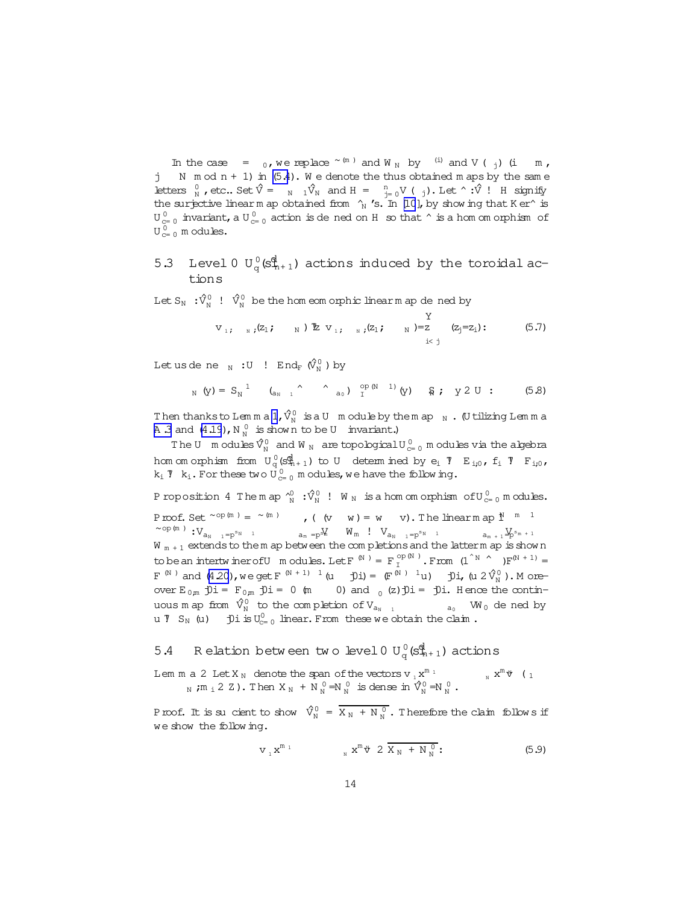<span id="page-13-0"></span>In the case =  $_0$ , we replace  $\sim$  (m) and W <sub>N</sub> by (i) and V (<sub>j</sub>) (i m, j N  $mod n + 1$  in  $(5.4)$ . We denote the thus obtained m aps by the same Letters  $_{N}^{0}$ , etc.. Set  $\hat{V} = N_1 \hat{V}_N$  and  $H = N_1 = N_0 V (m_1)$ . Let  $\hat{V}$  ! H signify the surjective linearm ap obtained from  $\gamma_{\text{N}}$  's. In [\[10](#page-19-0)], by show ing that K er^ is  ${\tt U}_{\rm c=0}^{\,0}$  invariant, a  ${\tt U}_{\rm c=0}^{\,0}$  action is de ned on H  $\,$  so that  $\, \hat{~}$  is a hom om orphism  $\,$  of  $U^0_{c=0}$  m odules.

## 5.3 Level 0  $U_q^0$ ( $s_{n+1}^d$ ) actions induced by the toroidal actions

Let  $S_N$   $: \hat{V}_N^0$  !  $\hat{V}_N^0$  be the hom eom orphic linearm ap de ned by

$$
V_{1}; \quad N; (Z_1; \quad N) \nsubseteq V_{1}; \quad N; (Z_1; \quad N) = Z \quad (Z_j = Z_1): \quad (5.7)
$$

Let us de ne  $_{\textrm{\tiny{N}}}$  :U !  $\text{End}_{\text{F}}$   $(\hat{V}_{\textrm{\tiny{N}}}^{0})$  ) by

$$
_{\text{N}}\text{ (y) = }{\text{S}_{\text{N}}}^1 \qquad \text{(a)}_{\text{N} = 1} \qquad \qquad \text{a)} \quad \text{or} \quad \text{p (N - 1) (y)} \qquad \text{S}; \quad \text{y 2 U :} \qquad \text{(5.8)}
$$

Then thanksto Lemma  $1$ ,  $\hat{V}_{\textrm{N}}^0$  isa U module by the map  $_{\textrm{N}}$  . (U tilizing Lemma A 3 and  $(4.19)$ , N  $_N^0$  is shown to be U invariant.)

The U  $\mod$  m odules  $\hat{V}_{N}^{0}$  and W  $_{N}$  are topological U  $_{c=0}^{0}$  m odules via the algebra hom om orphism from  $U_q^0(s_{n+1}^0)$  to U determ ined by  $e_i$  7  $E_{i,0}$ ,  $f_i$  7  $F_{i,0}$ ,  $k_i$  7  $k_i$ . For these two  $\dot{\mathsf{U}}_{c=0}^0$  modules, we have the following.

Proposition 4 Themap  $\hat{\ }^0_N$  : $\hat{\mathrm{V}}^0_N$  ! W  $_\mathrm{N}$  is a hom om orphism of  $\mathrm{U}^{\,0}_{\mathrm{c}=0}$  modules. Proof. Set  $\sim$ op(m) =  $\sim$ (m), ((v w) = w v). The linearm ap  $1^N$  <sup>m 1</sup>  $\sim$ op(m) : $V_{a_{N-1}=p^{s_{N-1}}}$  a<sub>m =p</sub>s $W$   $W_m$  !  $V_{a_{N-1}=p^{s_{N-1}}}$  $a_{m + 1} \mathcal{Y}_{p^{s_{m + 1}}}$  $W_{m+1}$  extends to the m ap between the completions and the latterm ap is show n to be an intertw iner of U modules. Let  $F^{(N)} = F_T^{\text{op}(N)}$ . From  $(1^{N} \cap F^{(N+1)} =$  $F^{(N)}$  and  $(4\ 20)$ , we get  $F^{(N+1)-1}$   $(u-ji) = (F^{(N)-1}u)$  joi,  $(u 2\hat{V}_N^0)$ . M oreover  $E_{0,m}$   $\hat{D}i = F_{0,m}$   $\hat{D}i = 0$  (m 0) and  $(2)\hat{D}i = \hat{D}i$ . Hence the continuous map from  $\hat V^{0}_{\rm N}$  to the completion of  $\rm V_{a_{\rm N}-1}$  $_{a_0}$  W<sub>0</sub> de ned by u  $\overline{y}$   $S_N$  (u)  $\overline{y}$   $\overline{y}$  is  $U_{c=0}^0$  linear. From these we obtain the claim.

# 5.4 Relation between two level 0  $U_q^0$  ( $S_{n+1}^{\{d\}}$ ) actions

Lem m a 2 Let  $X_N$  denote the span of the vectors v  ${}_1x^{m}$  1  $\mathbf{x}^{\mathfrak{m}}$   $\mathbf{\hat{v}}$  (  $\mathbf{1}$ N;  $m_i$  2 Z). Then  $X_N + N_N^0 = N_N^0$  is dense in  $\hat{X}_N^0 = N_N^0$ .

Proof. It is sucient to show  $\hat{V}^0_N = \overline{X_N + N_N^0}$ . Therefore the claim follows if we show the follow ing.

$$
v_{1} x^{m_{1}} \t\t x^{m_{1}} \t\t 2 \overline{X_{N} + N_{N}^{0}}.
$$
\t(5.9)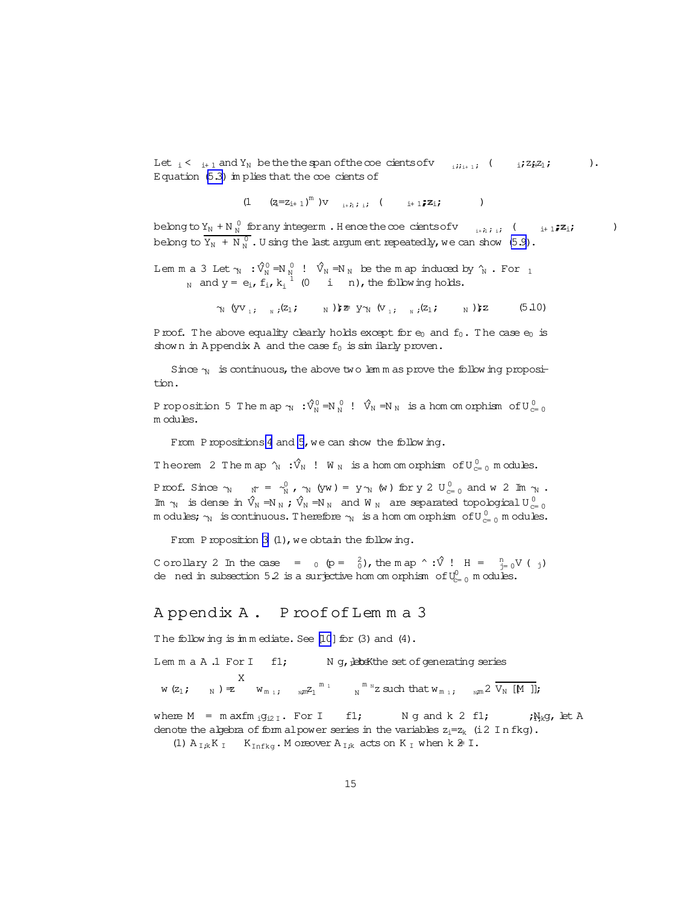<span id="page-14-0"></span>Let  $i \leq i+1$  and  $Y_N$  be the the span of the coe cients of  $v_{i,i+1}$ ;  $($   $i \in \mathbb{Z}^2 + \mathbb{Z}^2)$ . Equation  $(5.3)$  im plies that the coecients of

$$
(1 \qquad (z_i=z_{i+1})^m) v \qquad \ldots, \qquad \quad \ \ \, \ldots, \qquad \quad \ \ \, \ldots)
$$

belong to  $Y_N + N_N^0$  for any integerm. Hence the coecients of v  $\sum_{i+h,i}$ ; (  $\sum_{i+1}$ ; $\mathbb{Z}_i$ ; ) belong to  $\overline{Y_N + N_N^0}$ . U sing the last argum entrepeatedly, we can show [\(5.9\)](#page-13-0).

Lem m a 3 Let  $\gamma_N$  :  $\hat{V}^0_N$   $=$ N  $\gamma_N^0$  !  $\hat{V}_N$   $=$ N  $_N$  be the m ap induced by  $\hat{V}_N$  . For  $_1$ N and  $y = e_i$ ,  $f_i$ ,  $k_i$ <sup>1</sup> (0 i n), the following holds.

 $\gamma_N$  (yv<sub>1;  $_N$ </sub>;(z<sub>1</sub>;  $_N$ ));  $\geq$  y $\gamma_N$  (v<sub>1;  $_N$ </sub>;(z<sub>1</sub>;  $_N$ )); (5.10)

Proof. The above equality clearly holds except for  $e_0$  and  $f_0$ . The case  $e_0$  is shown in Appendix A and the case  $f_0$  is sim ilarly proven.

Since  $\gamma$  is continuous, the above two lem m as prove the following proposition.

Proposition 5 The map  $\gamma_N : \hat{V}_N^0 = N_N^0 : \hat{V}_N \Rightarrow N_N$  is a hom om orphism of  $U_{c=0}^0$ m odules.

From Propositions [4](#page-13-0) and 5, we can show the following.

Theorem 2 The map  $\hat{\gamma}_N$  :  $\hat{V}_N$  ! W  $_N$  is a hom om orphism of  $\mathrm{U}^{\,0}_{\mathrm{c}=0}$  modules.

Proof. Since  $\gamma_N$   $\gamma = \gamma_N^0$ ,  $\gamma_N$  (yw) = y $\gamma_N$  (w) for y 2 U<sub>C=0</sub> and w 2 Im  $\gamma_N$ . Im  $\gamma_N$  is dense in  $\hat{V}_N = N_N$ ;  $\hat{V}_N = N_N$  and  $W_N$  are separated topological  $U_{c=0}^0$ m odules;  $\gamma_\text{N}$  is continuous. Therefore  $\gamma_\text{N}$  is a hom om orphism of  $\mathrm{U}^{\,0}_{\mathrm{c}=~0}$  m odules.

From Proposition [3](#page-10-0)  $(1)$ , we obtain the following.

C orollary 2 In the case =  $_0$  (p =  $_0^2$ ), the m ap ^ :  $\hat{V}$  ! H =  $_{\text{J}=0}^n V$  (  $_j$ ) de ned in subsection 5.2 is a surjective hom om orphism of  $\mathbb{U}_{c=0}^0$  m odules.

#### A ppendix A . P roofofLem m a 3

The following is immediate. See  $[10]$  for  $(3)$  and  $(4)$ .

Lem  $m a A.1$  For I f1; N g, detekthe set of generating series

w(z<sub>1</sub>;  $_{\text{N}}$ ) = z X  $w_{m_{1}}$ ;  $w_{m_{2}}^{m_{1}}$   $w_{N}^{m_{N}}$ z such that  $w_{m_{1}}$ ;  $w_{m}$  2  $\overline{V_{N}}$  [M ]];

where  $M = m \, \mathrm{axfm} \, \mathrm{i} g_{i2\,I}$ . For I f1; Ng and k 2 f1;  $i\,N_k g$ , let A denote the algebra of form alpower series in the variables  $z_i=z_k$  (i2 In fkg). (1)  $A_{I;k}K_I$  K<sub>Infkg</sub>. M oreover  $A_{I;k}$  acts on  $K_I$  when  $k \geq 1$ .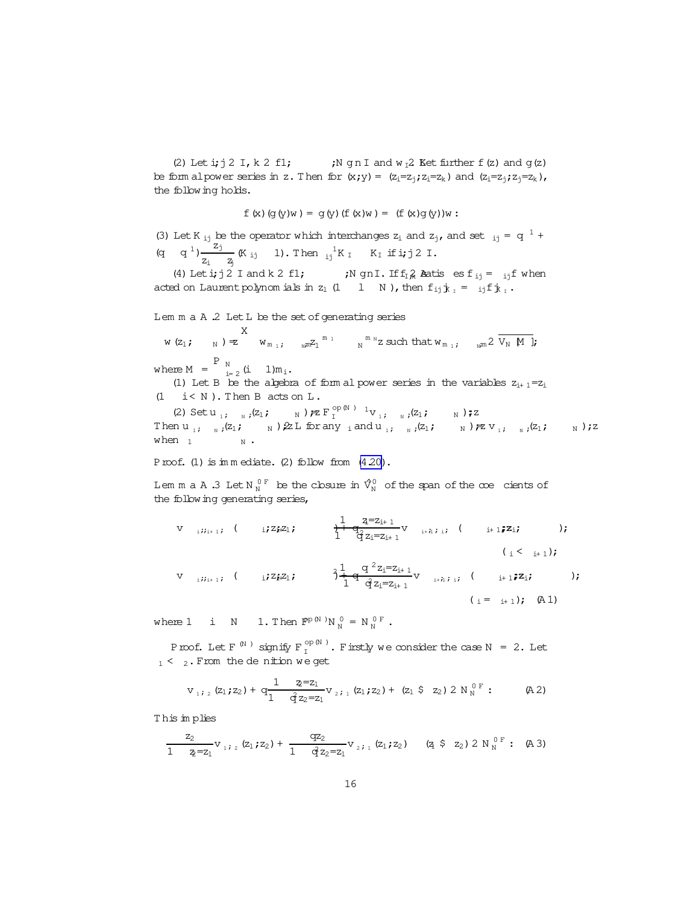<span id="page-15-0"></span>(2) Let  $\texttt{i}$ ;  $\texttt{j}$  2 I,  $\texttt{k}$  2 f1; <br>;N g n I and w <sub>I</sub>2. Ket further f(z) and g(z) be form alpower series in z. Then for  $(x; y) = (z_i = z_j; z_i = z_k)$  and  $(z_i = z_j; z_j = z_k)$ , the following holds.

$$
f(x) (g(y)w) = g(y) (f(x)w) = (f(x)g(y))w :
$$

(3) Let K <sub>ij</sub> be the operator which interchanges  $z_i$  and  $z_j$ , and set  $z_j = q^{-1} +$ (q q<sup>1</sup>) $\frac{z_j}{z_j}$  $\frac{z_j}{z_i - z_j}$  (K<sub>ij</sub> 1). Then  $\frac{1}{ij}$  K<sub>I</sub> if i; j 2 I.

(4) Let  $\mathbf{i}$ ;  $\mathbf{j}$  2 I and k 2 f1;  $\mathbf{j}$  ;N gnI. If  $f_{\mathbf{i}}$  and  $\mathbf{k}$  esf<sub>il</sub> =  $\mathbf{i}$  if when acted on Laurent polynom ials in  $z_1$  (1 l N), then  $f_{i,j}$   $\dot{x}_i$  =  $i_j f \dot{x}_j$ .

Lem m a A .2 Let L be the set of generating series

w(z<sub>1</sub>;  $_{\text{N}}$ ) = z X  $w_{m_1}$ ;  $w_{m^2}$   $\frac{m_1}{N}$   $\cdots$   $\frac{m_N}{N}$  such that  $w_{m_1}$ ;  $w_{m^2}$   $\frac{m_N}{N}$   $\frac{m_N}{N}$ where  $M = \begin{bmatrix} P & N \\ N & N \end{bmatrix}$  (i 1)m<sub>i</sub>.

(1) Let B be the algebra of form al power series in the variables  $z_{i+1} = z_i$ (1 i< N ). Then B acts on L.

(2) Setu<sub>1</sub>;  $_N$ ;(z<sub>1</sub>;  $_N$ )  $\neq$  F  $_1^{\text{op(N)}-1}$  V<sub>1</sub>;  $_N$ ;(z<sub>1</sub>;  $_N$ );z Then  $u_i$ ;  $_N$ ; $(z_1; w_N)$   $\geq L$  for any  $_i$  and  $u_i$ ;  $_N$ ; $(z_1; w_N)$  $\geq v_i$ ;  $_N$ ; $(z_1; w_N)$ ; $z$ when  $_1$   $\_$   $_\mathrm{N}$  .

Proof. (1) is immediate. (2) follow from  $(4.20)$ .

Lem m a A .3 Let  $N_N^{0\ F}$  be the closure in  $\hat{V}^0_N$  of the span of the  $\infty$ e cients of the following generating series,

V 
$$
iii_{+1}
$$
; (  $i72f_1Z_1$ ;  $\frac{1}{1} \frac{q=Z_{i+1}}{q}V_{i+h,i}$ ; (  $i+17Z_i$ ; );  
\n $(i \leq i+1)$ ;  
\nV  $iii_{+1}$ ; (  $i72f_1Z_1$ ;  $\frac{1}{1} \frac{q}{1} \frac{q}{2} \frac{Z_i=Z_{i+1}}{Z_{i-h-1}}V_{i+h,i}$ ; (  $i+17Z_i$ ; );

 $1 \frac{q}{2}z_1=z_{1+1}$  $(i = i+1); (A1)$ 

where 1 i N 1. Then  $\mathbb{P}^{p(N)}N_N^0 = N_N^{0 \text{ F}}$ .

Proof. Let F  $^{(\aleph)}$  signify F  $^{op\,(\aleph)}_I$  . Firstly we consider the case N = 2. Let  $1 \leq 2$ . From the denition we get

$$
v_{1i,2}(z_1; z_2) + q \frac{1}{1} \frac{z-z_1}{\dot{q} z_2 = z_1} v_{2i,1}(z_1; z_2) + (z_1 \hat{z} z_2) 2 N_N^{0 \, F}: \quad (A \, 2)
$$

T his im plies

$$
\frac{z_2}{1-z_2=z_1}v_1; \, z\ (z_1\,; z_2) + \frac{qz_2}{1-\hat{q}\,z_2=z_1}v_2; \, z\ (z_1\,; z_2) \qquad (z_1\ \hat{\varsigma}\ z_2)\ 2\ N_N^{\ 0\ F}:\ \ (A\ 3)
$$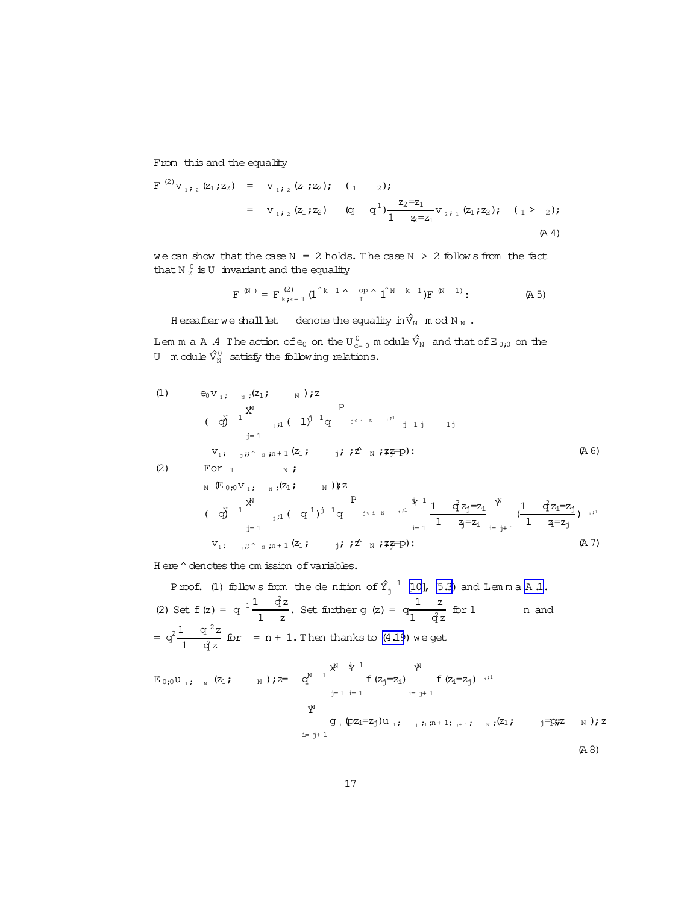From this and the equality

$$
F^{(2)}v_{1,2}(z_1; z_2) = v_{1,2}(z_1; z_2); (1 \t 2);
$$
  
\n
$$
= v_{1,2}(z_1; z_2) (q \t q^1) \frac{z_2 = z_1}{1} v_{2,1}(z_1; z_2); (1 > 2);
$$
  
\n
$$
(A 4)
$$

we can show that the case  $N = 2$  holds. The case  $N > 2$  follow s from the fact that N  $_2^0$  is U invariant and the equality

$$
F^{(N)} = F^{(2)}_{k,k+1} (1^{k} 1 \wedge \begin{array}{cc} \text{op} \wedge 1^{N} & k & 1 \end{array}) F^{(N-1)}; \tag{A 5}
$$

H ereafter we shall let denote the equality in  $\hat{V}_N$  m od N  $_N$ .

Lem m a A .4 The action of  $\rm e_{0}$  on the U  $\rm_{c=0}^{0}$  m odule  $\hat{\rm V}_{\rm N}$  and that of E  $_{0;0}$  on the U module  $\hat{V}^0_N$  satisfy the following relations.

(1) 
$$
e_0v_1
$$
;  $u_2(z)$  P  
\n(d)  $1^{\sum_{j=1}^{N} (2j - 1)^{j-1} q}$  P  
\n(e)  $1^{\sum_{j=1}^{N} (2j - 1)^{j-1} q}$   $1 \leq i \leq N$  if  $ij \neq j$  if  $j \neq j$  (A6)  
\n(2) For  $1$  N *i*  
\n $N(E_{0,0}v_1, N_{N}(Z_1; N))z$   
\n(e)  $1^{\sum_{j=1}^{N} (2j - 1)^{j-1} q}$   $1 \leq i \leq N$  if  $1 - \frac{q}{2}z_j = z_j^{\sum_{j=1}^{N} (1 - \frac{q}{2}z_j = z_j)} + \frac{1}{1 - \frac{q}{2}z_j} = 1$   
\n $v_1, y_1 \sim_{N} m + 1 (z_1; j_1; z \sim_{N} i \neq j)$  (A7)

H ere  $\hat{}$  denotes the om ission of variables.

Proof. (1) follows from the denition of  $\hat{Y}^{-1}_j$  [\[10](#page-19-0)], [\(5.3\)](#page-11-0) and Lemma [A .1.](#page-14-0) (2) Set  $f(z) = q^{-1} \frac{1}{z} \frac{q^2 z}{z^2}$  $\frac{q^2}{1-z}$ . Set further g (z) =  $q^{\frac{1}{2}}$   $q^{\frac{1}{2}}$  $1$   $q^2$ z n and  $= q^2 \frac{1}{1} \frac{q^2 z}{r^2}$  $\frac{q-2}{1-q^2}$  for = n + 1. Then thanks to [\(4.19](#page-8-0)) we get

$$
E_{0,0}u_{1,i} \quad \text{N}(z_{1}, z_{1}) := q^{N} \int_{j=1}^{N^{N}} \sum_{i=1}^{i} \sum_{i=1}^{i} f(z_{i}=z_{i}) \int_{i=1}^{i} f(z_{i}=z_{j}) \cdot i^{i}
$$
\n
$$
\int_{i=1}^{N^{N}} g_{i}(pz_{i}=z_{j})u_{1,i} \quad \text{N}(z_{1}, z_{1}) = \int_{i=1}^{i} \sum_{i=1}^{i} f(z_{i}=z_{i}) \cdot i^{i}
$$
\n
$$
= \int_{i=1}^{i} f(z_{i}=z_{i}) \cdot i^{i}
$$
\n
$$
= \int_{i=1}^{i} f(z_{i}=z_{i}) \cdot i^{i}
$$
\n
$$
= \int_{i=1}^{i} f(z_{i}=z_{i}) \cdot i^{i}
$$
\n
$$
= \int_{i=1}^{i} f(z_{i}=z_{i}) \cdot i^{i}
$$
\n
$$
= \int_{i=1}^{i} f(z_{i}=z_{i}) \cdot i^{i}
$$
\n
$$
= \int_{i=1}^{i} f(z_{i}=z_{i}) \cdot i^{i}
$$
\n
$$
= \int_{i=1}^{i} f(z_{i}=z_{i}) \cdot i^{i}
$$
\n
$$
= \int_{i=1}^{i} f(z_{i}=z_{i}) \cdot i^{i}
$$
\n
$$
= \int_{i=1}^{i} f(z_{i}=z_{i}) \cdot i^{i}
$$
\n
$$
= \int_{i=1}^{i} f(z_{i}=z_{i}) \cdot i^{i}
$$
\n
$$
= \int_{i=1}^{i} f(z_{i}=z_{i}) \cdot i^{i}
$$
\n
$$
= \int_{i=1}^{i} f(z_{i}=z_{i}) \cdot i^{i}
$$
\n
$$
= \int_{i=1}^{i} f(z_{i}=z_{i}) \cdot i^{i}
$$
\n
$$
= \int_{i=1}^{i} f(z_{i}=z_{i}) \cdot i^{i}
$$
\n
$$
= \int_{i=1}^{i} f(z_{i}=z_{i}) \cdot i^{i}
$$
\n
$$
= \int_{i=1}^{i} f(z_{i}=z_{i}) \cdot i^{i}
$$
\n
$$
= \int_{i
$$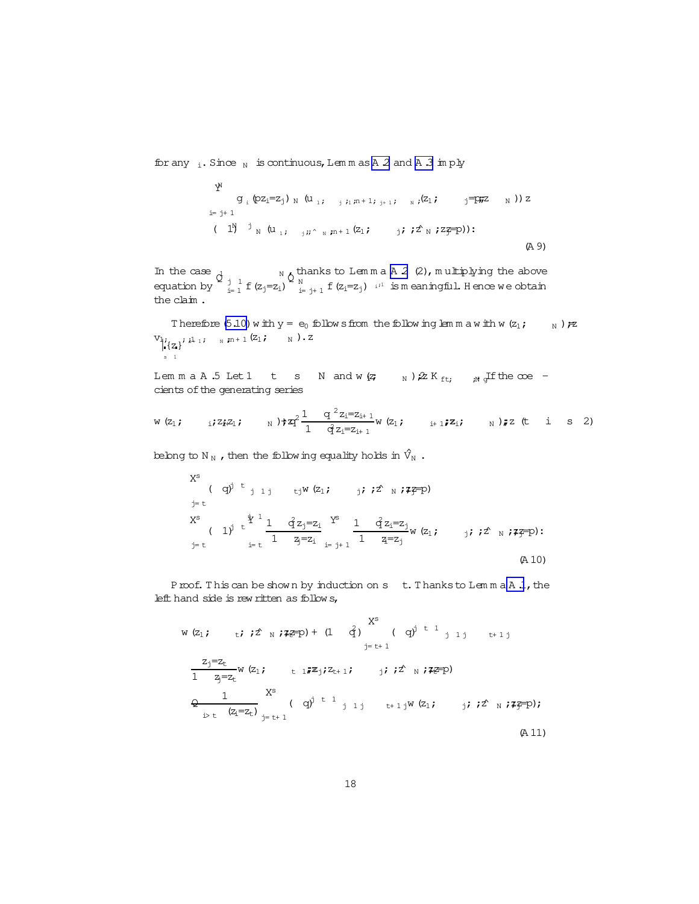for any  $\,$ i. Since  $\,$  is continuous, Lem m as A 2 and A 3 im ply

$$
Y^{N}
$$
\n
$$
g_{i} (pz_{i}=z_{j})_{N} (u_{1}; j_{i}n+1; j_{i}n+1; j_{i} (z_{1}; j)=F\ddot{r}z_{N}) ) z
$$
\n
$$
i=j+1
$$
\n
$$
(1^{N})_{N} (u_{1}; j_{i}i \wedge_{N} r^{n+1} (z_{1}; j_{i} ; j_{i} ; z_{N};z_{N} =0)).
$$
\n
$$
(A 9)
$$

In the case  $\lambda$   $N_A$  thanks to Lemma A 2 (2), multiplying the above equation by  $\oint_{i=1}^{j} f(z_j=z_i) \int_{i=j+1}^{N} f(z_i=z_j) e^{i\lambda}$  is meaningful. Hence we obtain the claim .

Therefore [\(5.10\)](#page-14-0) w ith  $y = e_0$  follow sfrom the follow inglem m a w ith w(z<sub>1</sub>;  $N$ ) $\neq$  $V_{i_{z_{1}}i_{1}}$ ;  $F_{n+1}(z_{1}; w_{1}, z_{2})$ .  $z_{n+1}(z_{1}; w_{1})$ .  $z_{n+1}(z_{1}; w_{1})$ s 1

Lem m a A .5 Let 1 t s N and w( $\zeta$  N)  $2K_{ft}$ ;  $\zeta$  all the coe cients of the generating series

$$
w(z_1; \t i; z_i z_1; \t N) \uparrow z_1^2 \frac{1}{1} \frac{q^2 z_i = z_{i+1}}{1 - z_{i+1}} w(z_1; \t i+1; z_i; \t N) \uparrow z
$$
 (t i s 2)

belong to N <sub>N</sub>, then the following equality holds in  $\hat{V}_N$ .

X<sup>s</sup> ( q<sup>j</sup> t<sub>j 1 j</sub> t<sub>j</sub>W (z<sub>1</sub>; j; i2 N ; 77–p)  
\nX<sup>s</sup> ( 1<sup>j</sup> t<sup>j</sup><sup>1</sup> 
$$
\frac{1}{1}
$$
  $\frac{q^{2}z_{j}=z_{i}}{1}$   $\frac{Y^{s}}{z_{j}=z_{i}}$   $\frac{1}{1}$   $\frac{q^{2}z_{i}=z_{j}}{1}$  W (z<sub>1</sub>; j; i2 N ; 77–p):  
\n $\frac{1}{z_{j}=t}$  (A 10)

Proof. This can be shown by induction on s t. Thanks to Lemma [A .1](#page-14-0), the left hand side is rew ritten as follow s,

$$
w (z_{1}; \t i; z^{2} \text{ N}; z \in D) + (1 \text{ q}) \t {X^{s}} \t (q)^{j t 1} j j t+1 j
$$
  
\n
$$
\frac{z_{j}=z_{t}}{1 - z_{j}=z_{t}} w (z_{1}; \t t \t i \t i \t j \t i \t j \t i \t j \t i \t j \t i \t j \t i \t j \t i \t j \t i \t j \t i \t j \t i \t j \t i \t j \t i \t j \t i \t j \t i \t j \t i \t j \t i \t j \t i \t j \t i \t j \t i \t j \t i \t j \t i \t j \t i \t j \t i \t j \t i \t j \t i \t j \t i \t j \t i \t j \t i \t j \t i \t j \t i \t j \t i \t j \t i \t j \t i \t j \t i \t j \t i \t j \t i \t j \t i \t j \t i \t j \t i \t j \t i \t j \t i \t j \t i \t j \t i \t j \t i \t j \t i \t j \t i \t j \t i \t j \t i \t j \t i \t j \t i \t j \t i \t j \t i \t j \t i \t j \t i \t j \t i \t j \t i \t j \t i \t j \t i \t j \t i \t j \t i \t j \t i \t j \t i \t j \t i \t j \t i \t j \t i \t j \t i \t j \t i \t j \t i \t j \t i \t j \t i \t j \t i \t j \t i \t j \t i \t j \t i \t j \t i \t j \t i \t j \t i \t j \t i \t j \t i \t j \t i \t j \t i \t j \t i \t j \t i \t j \t i \t j \t i \t j \t i \t j \t i \t j \t i \t j \t i \t j \t i \t j \t i \t j \t i \t j \t i \t j \t i \t j \t i \t j \t i \t j \t i \t j \t i \t j \t i \t j \t i \t j \t i \t j \t i \t j \t i \t j \t i \t j \t i \t j \t i \t j \t i \t j \t i \t j \t i \t j \t i \
$$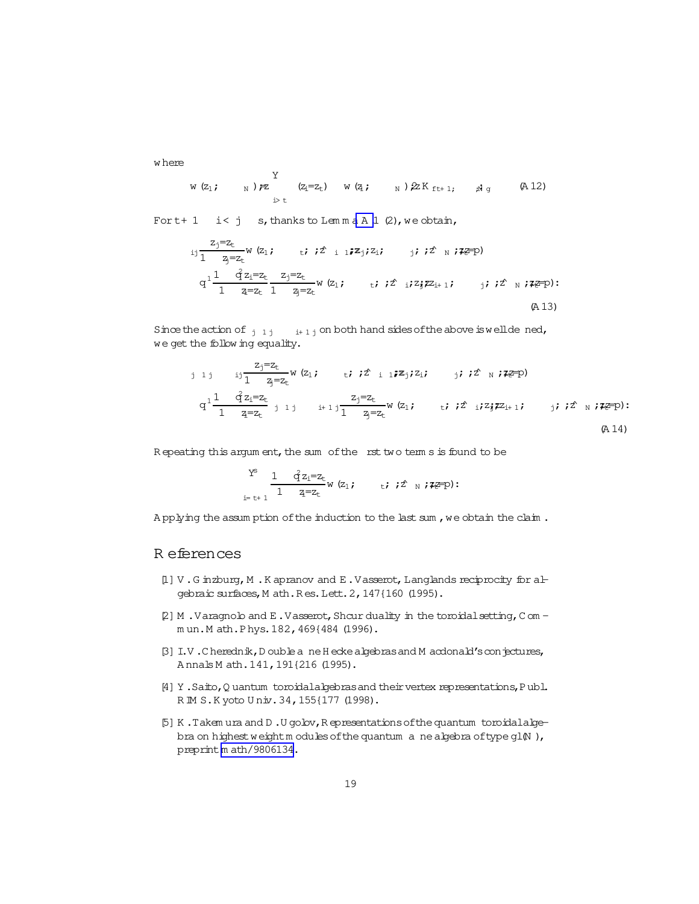<span id="page-18-0"></span>w here

$$
w(z_1; \t N) \ncong \begin{cases} \n Y & (z_i = z_t) & w(z_i; \t N) \ncong \\ \n \text{if } z = z_t \n \end{cases}
$$

For  $t+1$  i< j s, thanks to Lemma A 1 (2), we obtain,

$$
i j \frac{z_j = z_t}{1} w (z_1; \t i \t i^2 i 1 \t i z_j; z_i; \t j \t i z_k \t j \t j \t j \t k \t j \t k \t j \t k \t j \t k \t j \t k \t j \t k \t j \t k \t j \t k \t j \t k \t j \t k \t j \t k \t j \t k \t j \t k \t j \t k \t j \t k \t j \t k \t j \t k \t j \t k \t j \t k \t j \t k \t j \t k \t j \t k \t j \t k \t j \t k \t (A13)
$$

Since the action of  $j_1 j_i + 1 j$  on both hand sides of the above is wellde ned, we get the follow ing equality.

j 1 j 
$$
i j \frac{z_j = z_t}{1 - z_j = z_t}
$$
 w (z<sub>1</sub>; *i* ; *i*  $i \in \mathbb{Z}$   
\n $q^1 \frac{1}{1 - z_t = z_t}$  j 1 j  $i + 1 j \frac{z_j = z_t}{1 - z_t = z_t}$  w (z<sub>1</sub>; *i* ; *i*  $i \in \mathbb{Z}$   
\n $q^1 \frac{1}{1 - z_t = z_t}$  j 1 j  $i + 1 j \frac{z_j = z_t}{1 - z_t = z_t}$  w (z<sub>1</sub>; *i* ; *i*  $i \in \mathbb{Z}$   
\n $q^1 \frac{1}{1 - z_t} = z_t$  (A14)

Repeating this argum ent, the sum of the rst two term s is found to be

$$
\sum_{i=\text{t+1}}^{Y^S} \frac{1}{1} \frac{q^2 z_i = z_t}{z_i = z_t} w(z_1; \quad \text{t; } z^2 \text{ is } z \in P)
$$

A pplying the assum ption of the induction to the last sum , we obtain the claim.

### R eferences

- $[1]$  V.G inzburg, M.K apranov and E.Vasserot, Langlands reciprocity for algebraic surfaces,M ath.R es.Lett.2,147{160 (1995).
- [2] M . Varagnolo and E. Vasserot, Shcur duality in the toroidal setting, C om m un.M ath.Phys.182,469{484 (1996).
- [3] I.V.C herednik, D ouble a ne H ecke algebras and M acdonald's conjectures, A nnals M ath.141,191{216 (1995).
- [4] Y. Saito, Q uantum toroidalalgebras and their vertex representations, Publ. R M S.K yoto Univ. 34, 155{177 (1998).
- [5] K .Takem ura and D .U golov,R epresentationsofthequantum toroidalalgebra on highest weightm odules of the quantum anealgebra of type gl $(N)$ , preprint[m ath/9806134.](http://arxiv.org/abs/math/9806134)